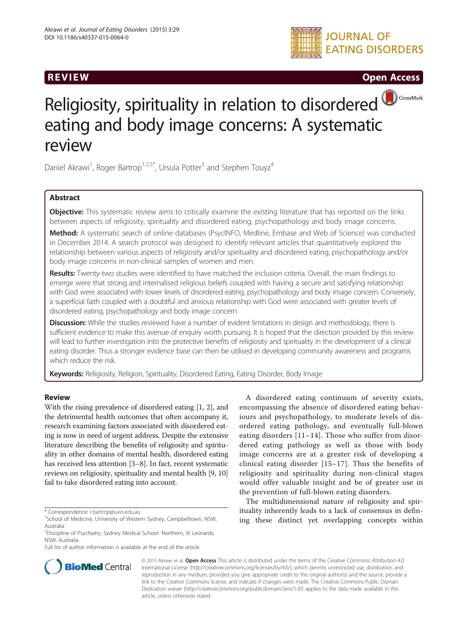

**REVIEW CONSIDERING CONSIDERING CONSIDERING CONSIDERING CONSIDERING CONSIDERING CONSIDERING CONSIDERING CONSIDERING CONSIDERING CONSIDERING CONSIDERING CONSIDERING CONSIDERING CONSIDERING CONSIDERING CONSIDERING CONSIDER** 



Daniel Akrawi<sup>1</sup>, Roger Bartrop<sup>1,2,5\*</sup>, Ursula Potter<sup>3</sup> and Stephen Touyz<sup>4</sup>

### Abstract

Objective: This systematic review aims to critically examine the existing literature that has reported on the links between aspects of religiosity, spirituality and disordered eating, psychopathology and body image concerns.

Method: A systematic search of online databases (PsycINFO, Medline, Embase and Web of Science) was conducted in December 2014. A search protocol was designed to identify relevant articles that quantitatively explored the relationship between various aspects of religiosity and/or spirituality and disordered eating, psychopathology and/or body image concerns in non-clinical samples of women and men.

Results: Twenty-two studies were identified to have matched the inclusion criteria. Overall, the main findings to emerge were that strong and internalised religious beliefs coupled with having a secure and satisfying relationship with God were associated with lower levels of disordered eating, psychopathology and body image concern. Conversely, a superficial faith coupled with a doubtful and anxious relationship with God were associated with greater levels of disordered eating, psychopathology and body image concern.

Discussion: While the studies reviewed have a number of evident limitations in design and methodology, there is sufficient evidence to make this avenue of enquiry worth pursuing. It is hoped that the direction provided by this review will lead to further investigation into the protective benefits of religiosity and spirituality in the development of a clinical eating disorder. Thus a stronger evidence base can then be utilised in developing community awareness and programs which reduce the risk.

Keywords: Religiosity, Religion, Spirituality, Disordered Eating, Eating Disorder, Body Image

### Review

With the rising prevalence of disordered eating [[1, 2\]](#page-22-0), and the detrimental health outcomes that often accompany it, research examining factors associated with disordered eating is now in need of urgent address. Despite the extensive literature describing the benefits of religiosity and spirituality in other domains of mental health, disordered eating has received less attention [\[3](#page-22-0)–[8\]](#page-22-0). In fact, recent systematic reviews on religiosity, spirituality and mental health [\[9](#page-22-0), [10](#page-22-0)] fail to take disordered eating into account.

A disordered eating continuum of severity exists, encompassing the absence of disordered eating behaviours and psychopathology, to moderate levels of disordered eating pathology, and eventually full-blown eating disorders [[11](#page-22-0)–[14](#page-22-0)]. Those who suffer from disordered eating pathology as well as those with body image concerns are at a greater risk of developing a clinical eating disorder [\[15](#page-22-0)–[17\]](#page-22-0). Thus the benefits of religiosity and spirituality during non-clinical stages would offer valuable insight and be of greater use in the prevention of full-blown eating disorders.

The multidimensional nature of religiosity and spirituality inherently leads to a lack of consensus in defining these distinct yet overlapping concepts within



© 2015 Akrawi et al. Open Access This article is distributed under the terms of the Creative Commons Attribution 4.0 International License [\(http://creativecommons.org/licenses/by/4.0/\)](http://creativecommons.org/licenses/by/4.0/), which permits unrestricted use, distribution, and reproduction in any medium, provided you give appropriate credit to the original author(s) and the source, provide a link to the Creative Commons license, and indicate if changes were made. The Creative Commons Public Domain Dedication waiver ([http://creativecommons.org/publicdomain/zero/1.0/\)](http://creativecommons.org/publicdomain/zero/1.0/) applies to the data made available in this article, unless otherwise stated.

<sup>\*</sup> Correspondence: [r.bartrop@uws.edu.au](mailto:r.bartrop@uws.edu.au) <sup>1</sup>

<sup>&</sup>lt;sup>1</sup>School of Medicine, University of Western Sydney, Campbelltown, NSW, Australia

<sup>&</sup>lt;sup>2</sup>Discipline of Psychiatry, Sydney Medical School- Northern, St Leonards, NSW, Australia

Full list of author information is available at the end of the article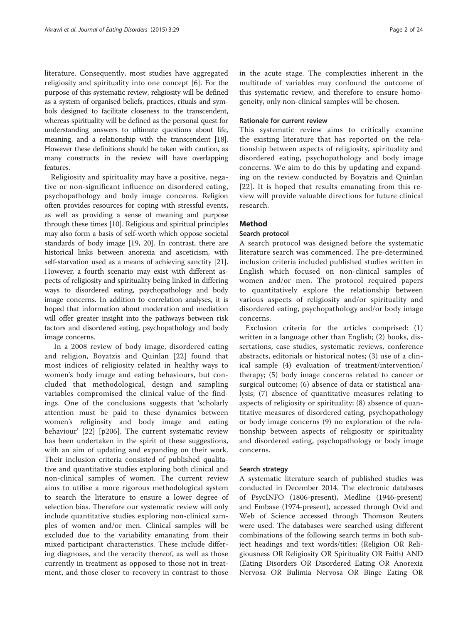literature. Consequently, most studies have aggregated religiosity and spirituality into one concept [[6\]](#page-22-0). For the purpose of this systematic review, religiosity will be defined as a system of organised beliefs, practices, rituals and symbols designed to facilitate closeness to the transcendent, whereas spirituality will be defined as the personal quest for understanding answers to ultimate questions about life, meaning, and a relationship with the transcendent [\[18](#page-22-0)]. However these definitions should be taken with caution, as many constructs in the review will have overlapping features.

Religiosity and spirituality may have a positive, negative or non-significant influence on disordered eating, psychopathology and body image concerns. Religion often provides resources for coping with stressful events, as well as providing a sense of meaning and purpose through these times [\[10\]](#page-22-0). Religious and spiritual principles may also form a basis of self-worth which oppose societal standards of body image [[19](#page-22-0), [20](#page-22-0)]. In contrast, there are historical links between anorexia and asceticism, with self-starvation used as a means of achieving sanctity [[21](#page-22-0)]. However, a fourth scenario may exist with different aspects of religiosity and spirituality being linked in differing ways to disordered eating, psychopathology and body image concerns. In addition to correlation analyses, it is hoped that information about moderation and mediation will offer greater insight into the pathways between risk factors and disordered eating, psychopathology and body image concerns.

In a 2008 review of body image, disordered eating and religion, Boyatzis and Quinlan [[22](#page-22-0)] found that most indices of religiosity related in healthy ways to women's body image and eating behaviours, but concluded that methodological, design and sampling variables compromised the clinical value of the findings. One of the conclusions suggests that 'scholarly attention must be paid to these dynamics between women's religiosity and body image and eating behaviour' [[22\]](#page-22-0) [p206]. The current systematic review has been undertaken in the spirit of these suggestions, with an aim of updating and expanding on their work. Their inclusion criteria consisted of published qualitative and quantitative studies exploring both clinical and non-clinical samples of women. The current review aims to utilise a more rigorous methodological system to search the literature to ensure a lower degree of selection bias. Therefore our systematic review will only include quantitative studies exploring non-clinical samples of women and/or men. Clinical samples will be excluded due to the variability emanating from their mixed participant characteristics. These include differing diagnoses, and the veracity thereof, as well as those currently in treatment as opposed to those not in treatment, and those closer to recovery in contrast to those in the acute stage. The complexities inherent in the multitude of variables may confound the outcome of this systematic review, and therefore to ensure homogeneity, only non-clinical samples will be chosen.

#### Rationale for current review

This systematic review aims to critically examine the existing literature that has reported on the relationship between aspects of religiosity, spirituality and disordered eating, psychopathology and body image concerns. We aim to do this by updating and expanding on the review conducted by Boyatzis and Quinlan [[22](#page-22-0)]. It is hoped that results emanating from this review will provide valuable directions for future clinical research.

### Method

### Search protocol

A search protocol was designed before the systematic literature search was commenced. The pre-determined inclusion criteria included published studies written in English which focused on non-clinical samples of women and/or men. The protocol required papers to quantitatively explore the relationship between various aspects of religiosity and/or spirituality and disordered eating, psychopathology and/or body image concerns.

Exclusion criteria for the articles comprised: (1) written in a language other than English; (2) books, dissertations, case studies, systematic reviews, conference abstracts, editorials or historical notes; (3) use of a clinical sample (4) evaluation of treatment/intervention/ therapy; (5) body image concerns related to cancer or surgical outcome; (6) absence of data or statistical analysis; (7) absence of quantitative measures relating to aspects of religiosity or spirituality; (8) absence of quantitative measures of disordered eating, psychopathology or body image concerns (9) no exploration of the relationship between aspects of religiosity or spirituality and disordered eating, psychopathology or body image concerns.

### Search strategy

A systematic literature search of published studies was conducted in December 2014. The electronic databases of PsycINFO (1806-present), Medline (1946-present) and Embase (1974-present), accessed through Ovid and Web of Science accessed through Thomson Reuters were used. The databases were searched using different combinations of the following search terms in both subject headings and text words/titles: (Religion OR Religiousness OR Religiosity OR Spirituality OR Faith) AND (Eating Disorders OR Disordered Eating OR Anorexia Nervosa OR Bulimia Nervosa OR Binge Eating OR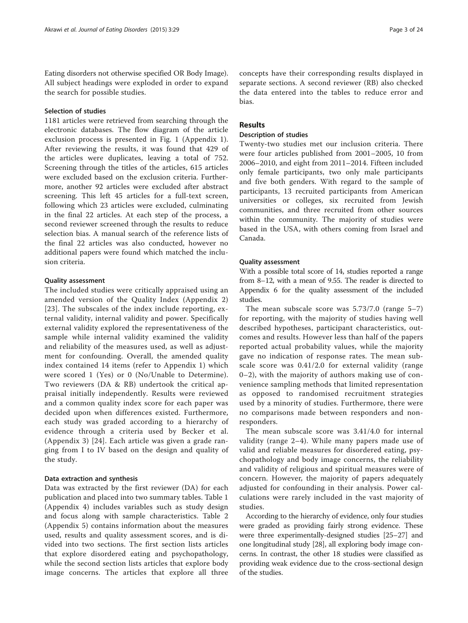Eating disorders not otherwise specified OR Body Image). All subject headings were exploded in order to expand the search for possible studies.

### Selection of studies

1181 articles were retrieved from searching through the electronic databases. The flow diagram of the article exclusion process is presented in Fig. [1 \(Appendix 1\)](#page-8-0). After reviewing the results, it was found that 429 of the articles were duplicates, leaving a total of 752. Screening through the titles of the articles, 615 articles were excluded based on the exclusion criteria. Furthermore, another 92 articles were excluded after abstract screening. This left 45 articles for a full-text screen, following which 23 articles were excluded, culminating in the final 22 articles. At each step of the process, a second reviewer screened through the results to reduce selection bias. A manual search of the reference lists of the final 22 articles was also conducted, however no additional papers were found which matched the inclusion criteria.

### Quality assessment

The included studies were critically appraised using an amended version of the Quality Index ([Appendix 2](#page-8-0)) [[23](#page-22-0)]. The subscales of the index include reporting, external validity, internal validity and power. Specifically external validity explored the representativeness of the sample while internal validity examined the validity and reliability of the measures used, as well as adjustment for confounding. Overall, the amended quality index contained 14 items (refer to [Appendix 1](#page-8-0)) which were scored 1 (Yes) or 0 (No/Unable to Determine). Two reviewers (DA & RB) undertook the critical appraisal initially independently. Results were reviewed and a common quality index score for each paper was decided upon when differences existed. Furthermore, each study was graded according to a hierarchy of evidence through a criteria used by Becker et al. ([Appendix 3\)](#page-9-0) [[24](#page-22-0)]. Each article was given a grade ranging from I to IV based on the design and quality of the study.

#### Data extraction and synthesis

Data was extracted by the first reviewer (DA) for each publication and placed into two summary tables. Table [1](#page-9-0) [\(Appendix 4\)](#page-9-0) includes variables such as study design and focus along with sample characteristics. Table [2](#page-11-0) [\(Appendix 5\)](#page-11-0) contains information about the measures used, results and quality assessment scores, and is divided into two sections. The first section lists articles that explore disordered eating and psychopathology, while the second section lists articles that explore body image concerns. The articles that explore all three concepts have their corresponding results displayed in separate sections. A second reviewer (RB) also checked the data entered into the tables to reduce error and bias.

### Results

### Description of studies

Twenty-two studies met our inclusion criteria. There were four articles published from 2001–2005, 10 from 2006–2010, and eight from 2011–2014. Fifteen included only female participants, two only male participants and five both genders. With regard to the sample of participants, 13 recruited participants from American universities or colleges, six recruited from Jewish communities, and three recruited from other sources within the community. The majority of studies were based in the USA, with others coming from Israel and Canada.

### Quality assessment

With a possible total score of 14, studies reported a range from 8–12, with a mean of 9.55. The reader is directed to [Appendix 6](#page-20-0) for the quality assessment of the included studies.

The mean subscale score was 5.73/7.0 (range 5–7) for reporting, with the majority of studies having well described hypotheses, participant characteristics, outcomes and results. However less than half of the papers reported actual probability values, while the majority gave no indication of response rates. The mean subscale score was 0.41/2.0 for external validity (range 0–2), with the majority of authors making use of convenience sampling methods that limited representation as opposed to randomised recruitment strategies used by a minority of studies. Furthermore, there were no comparisons made between responders and nonresponders.

The mean subscale score was 3.41/4.0 for internal validity (range 2–4). While many papers made use of valid and reliable measures for disordered eating, psychopathology and body image concerns, the reliability and validity of religious and spiritual measures were of concern. However, the majority of papers adequately adjusted for confounding in their analysis. Power calculations were rarely included in the vast majority of studies.

According to the hierarchy of evidence, only four studies were graded as providing fairly strong evidence. These were three experimentally-designed studies [[25](#page-22-0)–[27\]](#page-22-0) and one longitudinal study [[28](#page-22-0)], all exploring body image concerns. In contrast, the other 18 studies were classified as providing weak evidence due to the cross-sectional design of the studies.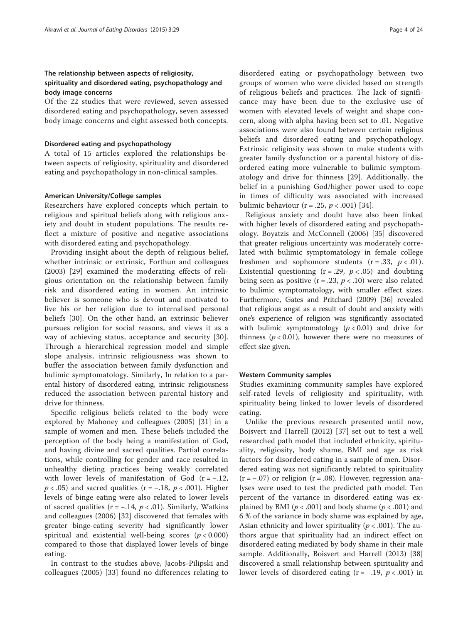### The relationship between aspects of religiosity, spirituality and disordered eating, psychopathology and body image concerns

Of the 22 studies that were reviewed, seven assessed disordered eating and psychopathology, seven assessed body image concerns and eight assessed both concepts.

#### Disordered eating and psychopathology

A total of 15 articles explored the relationships between aspects of religiosity, spirituality and disordered eating and psychopathology in non-clinical samples.

### American University/College samples

Researchers have explored concepts which pertain to religious and spiritual beliefs along with religious anxiety and doubt in student populations. The results reflect a mixture of positive and negative associations with disordered eating and psychopathology.

Providing insight about the depth of religious belief, whether intrinsic or extrinsic, Forthun and colleagues (2003) [[29](#page-22-0)] examined the moderating effects of religious orientation on the relationship between family risk and disordered eating in women. An intrinsic believer is someone who is devout and motivated to live his or her religion due to internalised personal beliefs [\[30](#page-22-0)]. On the other hand, an extrinsic believer pursues religion for social reasons, and views it as a way of achieving status, acceptance and security [[30](#page-22-0)]. Through a hierarchical regression model and simple slope analysis, intrinsic religiousness was shown to buffer the association between family dysfunction and bulimic symptomatology. Similarly, In relation to a parental history of disordered eating, intrinsic religiousness reduced the association between parental history and drive for thinness.

Specific religious beliefs related to the body were explored by Mahoney and colleagues (2005) [[31\]](#page-22-0) in a sample of women and men. These beliefs included the perception of the body being a manifestation of God, and having divine and sacred qualities. Partial correlations, while controlling for gender and race resulted in unhealthy dieting practices being weakly correlated with lower levels of manifestation of God  $(r = -12,$  $p < .05$ ) and sacred qualities (r = -.18,  $p < .001$ ). Higher levels of binge eating were also related to lower levels of sacred qualities ( $r = -.14$ ,  $p < .01$ ). Similarly, Watkins and colleagues (2006) [\[32](#page-22-0)] discovered that females with greater binge-eating severity had significantly lower spiritual and existential well-being scores  $(p < 0.000)$ compared to those that displayed lower levels of binge eating.

In contrast to the studies above, Jacobs-Pilipski and colleagues (2005) [\[33](#page-22-0)] found no differences relating to disordered eating or psychopathology between two groups of women who were divided based on strength of religious beliefs and practices. The lack of significance may have been due to the exclusive use of women with elevated levels of weight and shape concern, along with alpha having been set to .01. Negative associations were also found between certain religious beliefs and disordered eating and psychopathology. Extrinsic religiosity was shown to make students with greater family dysfunction or a parental history of disordered eating more vulnerable to bulimic symptomatology and drive for thinness [[29](#page-22-0)]. Additionally, the belief in a punishing God/higher power used to cope in times of difficulty was associated with increased bulimic behaviour (r = .25,  $p < .001$ ) [\[34](#page-22-0)].

Religious anxiety and doubt have also been linked with higher levels of disordered eating and psychopathology. Boyatzis and McConnell (2006) [[35\]](#page-22-0) discovered that greater religious uncertainty was moderately correlated with bulimic symptomatology in female college freshmen and sophomore students  $(r = .33, p < .01)$ . Existential questioning  $(r=.29, p < .05)$  and doubting being seen as positive ( $r = .23$ ,  $p < .10$ ) were also related to bulimic symptomatology, with smaller effect sizes. Furthermore, Gates and Pritchard (2009) [[36](#page-22-0)] revealed that religious angst as a result of doubt and anxiety with one's experience of religion was significantly associated with bulimic symptomatology  $(p < 0.01)$  and drive for thinness ( $p < 0.01$ ), however there were no measures of effect size given.

#### Western Community samples

Studies examining community samples have explored self-rated levels of religiosity and spirituality, with spirituality being linked to lower levels of disordered eating.

Unlike the previous research presented until now, Boisvert and Harrell (2012) [[37\]](#page-22-0) set out to test a well researched path model that included ethnicity, spirituality, religiosity, body shame, BMI and age as risk factors for disordered eating in a sample of men. Disordered eating was not significantly related to spirituality (r = −.07) or religion (r = .08). However, regression analyses were used to test the predicted path model. Ten percent of the variance in disordered eating was explained by BMI ( $p < .001$ ) and body shame ( $p < .001$ ) and 6 % of the variance in body shame was explained by age, Asian ethnicity and lower spirituality ( $p < .001$ ). The authors argue that spirituality had an indirect effect on disordered eating mediated by body shame in their male sample. Additionally, Boisvert and Harrell (2013) [\[38](#page-22-0)] discovered a small relationship between spirituality and lower levels of disordered eating ( $r = -.19$ ,  $p < .001$ ) in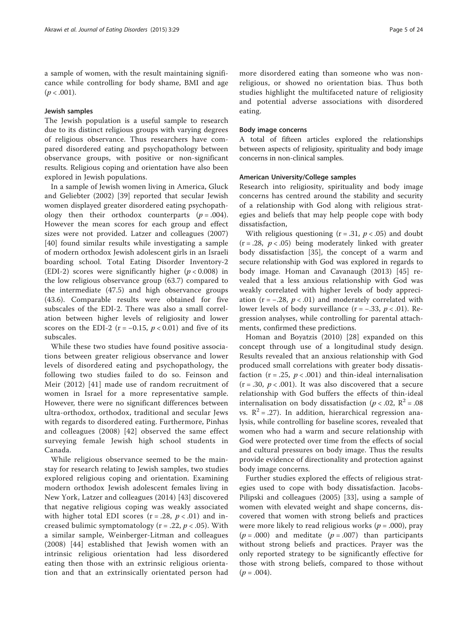a sample of women, with the result maintaining significance while controlling for body shame, BMI and age  $(p < .001)$ .

#### Jewish samples

The Jewish population is a useful sample to research due to its distinct religious groups with varying degrees of religious observance. Thus researchers have compared disordered eating and psychopathology between observance groups, with positive or non-significant results. Religious coping and orientation have also been explored in Jewish populations.

In a sample of Jewish women living in America, Gluck and Geliebter (2002) [[39\]](#page-22-0) reported that secular Jewish women displayed greater disordered eating psychopathology then their orthodox counterparts  $(p = .004)$ . However the mean scores for each group and effect sizes were not provided. Latzer and colleagues (2007) [[40\]](#page-22-0) found similar results while investigating a sample of modern orthodox Jewish adolescent girls in an Israeli boarding school. Total Eating Disorder Inventory-2 (EDI-2) scores were significantly higher  $(p < 0.008)$  in the low religious observance group (63.7) compared to the intermediate (47.5) and high observance groups (43.6). Comparable results were obtained for five subscales of the EDI-2. There was also a small correlation between higher levels of religiosity and lower scores on the EDI-2 ( $r = -0.15$ ,  $p < 0.01$ ) and five of its subscales.

While these two studies have found positive associations between greater religious observance and lower levels of disordered eating and psychopathology, the following two studies failed to do so. Feinson and Meir (2012) [[41\]](#page-22-0) made use of random recruitment of women in Israel for a more representative sample. However, there were no significant differences between ultra-orthodox, orthodox, traditional and secular Jews with regards to disordered eating. Furthermore, Pinhas and colleagues (2008) [[42](#page-22-0)] observed the same effect surveying female Jewish high school students in Canada.

While religious observance seemed to be the mainstay for research relating to Jewish samples, two studies explored religious coping and orientation. Examining modern orthodox Jewish adolescent females living in New York, Latzer and colleagues (2014) [[43](#page-22-0)] discovered that negative religious coping was weakly associated with higher total EDI scores ( $r = .28$ ,  $p < .01$ ) and increased bulimic symptomatology ( $r = .22$ ,  $p < .05$ ). With a similar sample, Weinberger-Litman and colleagues (2008) [[44](#page-22-0)] established that Jewish women with an intrinsic religious orientation had less disordered eating then those with an extrinsic religious orientation and that an extrinsically orientated person had

more disordered eating than someone who was nonreligious, or showed no orientation bias. Thus both studies highlight the multifaceted nature of religiosity and potential adverse associations with disordered eating.

#### Body image concerns

A total of fifteen articles explored the relationships between aspects of religiosity, spirituality and body image concerns in non-clinical samples.

#### American University/College samples

Research into religiosity, spirituality and body image concerns has centred around the stability and security of a relationship with God along with religious strategies and beliefs that may help people cope with body dissatisfaction,

With religious questioning  $(r=.31, p-.05)$  and doubt  $(r = .28, p < .05)$  being moderately linked with greater body dissatisfaction [[35](#page-22-0)], the concept of a warm and secure relationship with God was explored in regards to body image. Homan and Cavanaugh (2013) [[45\]](#page-23-0) revealed that a less anxious relationship with God was weakly correlated with higher levels of body appreciation ( $r = -.28$ ,  $p < .01$ ) and moderately correlated with lower levels of body surveillance ( $r = -0.33$ ,  $p < 0.01$ ). Regression analyses, while controlling for parental attachments, confirmed these predictions.

Homan and Boyatzis (2010) [[28](#page-22-0)] expanded on this concept through use of a longitudinal study design. Results revealed that an anxious relationship with God produced small correlations with greater body dissatisfaction ( $r = .25$ ,  $p < .001$ ) and thin-ideal internalisation  $(r = .30, p < .001)$ . It was also discovered that a secure relationship with God buffers the effects of thin-ideal internalisation on body dissatisfaction ( $p < .02$ ,  $\mathbb{R}^2 = .08$ ) vs.  $R^2 = .27$ ). In addition, hierarchical regression analysis, while controlling for baseline scores, revealed that women who had a warm and secure relationship with God were protected over time from the effects of social and cultural pressures on body image. Thus the results provide evidence of directionality and protection against body image concerns.

Further studies explored the effects of religious strategies used to cope with body dissatisfaction. Jacobs-Pilipski and colleagues (2005) [[33](#page-22-0)], using a sample of women with elevated weight and shape concerns, discovered that women with strong beliefs and practices were more likely to read religious works ( $p = .000$ ), pray  $(p=.000)$  and meditate  $(p=.007)$  than participants without strong beliefs and practices. Prayer was the only reported strategy to be significantly effective for those with strong beliefs, compared to those without  $(p=.004).$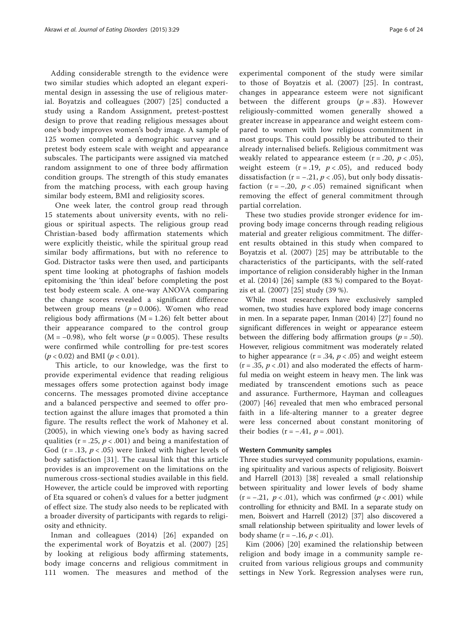Adding considerable strength to the evidence were two similar studies which adopted an elegant experimental design in assessing the use of religious material. Boyatzis and colleagues (2007) [\[25\]](#page-22-0) conducted a study using a Random Assignment, pretest-posttest design to prove that reading religious messages about one's body improves women's body image. A sample of 125 women completed a demographic survey and a pretest body esteem scale with weight and appearance subscales. The participants were assigned via matched random assignment to one of three body affirmation condition groups. The strength of this study emanates from the matching process, with each group having similar body esteem, BMI and religiosity scores.

One week later, the control group read through 15 statements about university events, with no religious or spiritual aspects. The religious group read Christian-based body affirmation statements which were explicitly theistic, while the spiritual group read similar body affirmations, but with no reference to God. Distractor tasks were then used, and participants spent time looking at photographs of fashion models epitomising the 'thin ideal' before completing the post test body esteem scale. A one-way ANOVA comparing the change scores revealed a significant difference between group means ( $p = 0.006$ ). Women who read religious body affirmations  $(M = 1.26)$  felt better about their appearance compared to the control group  $(M = -0.98)$ , who felt worse (p = 0.005). These results were confirmed while controlling for pre-test scores  $(p < 0.02)$  and BMI  $(p < 0.01)$ .

This article, to our knowledge, was the first to provide experimental evidence that reading religious messages offers some protection against body image concerns. The messages promoted divine acceptance and a balanced perspective and seemed to offer protection against the allure images that promoted a thin figure. The results reflect the work of Mahoney et al. (2005), in which viewing one's body as having sacred qualities ( $r = .25$ ,  $p < .001$ ) and being a manifestation of God ( $r = .13$ ,  $p < .05$ ) were linked with higher levels of body satisfaction [[31\]](#page-22-0). The causal link that this article provides is an improvement on the limitations on the numerous cross-sectional studies available in this field. However, the article could be improved with reporting of Eta squared or cohen's d values for a better judgment of effect size. The study also needs to be replicated with a broader diversity of participants with regards to religiosity and ethnicity.

Inman and colleagues (2014) [[26](#page-22-0)] expanded on the experimental work of Boyatzis et al. (2007) [[25](#page-22-0)] by looking at religious body affirming statements, body image concerns and religious commitment in 111 women. The measures and method of the

experimental component of the study were similar to those of Boyatzis et al. (2007) [[25\]](#page-22-0). In contrast, changes in appearance esteem were not significant between the different groups  $(p=.83)$ . However religiously-committed women generally showed a greater increase in appearance and weight esteem compared to women with low religious commitment in most groups. This could possibly be attributed to their already internalised beliefs. Religious commitment was weakly related to appearance esteem  $(r = .20, p < .05)$ , weight esteem  $(r = .19, p < .05)$ , and reduced body dissatisfaction ( $r = -.21$ ,  $p < .05$ ), but only body dissatisfaction ( $r = -.20$ ,  $p < .05$ ) remained significant when removing the effect of general commitment through partial correlation.

These two studies provide stronger evidence for improving body image concerns through reading religious material and greater religious commitment. The different results obtained in this study when compared to Boyatzis et al. (2007) [[25](#page-22-0)] may be attributable to the characteristics of the participants, with the self-rated importance of religion considerably higher in the Inman et al. (2014) [[26](#page-22-0)] sample (83 %) compared to the Boyatzis et al. (2007) [[25\]](#page-22-0) study (39 %).

While most researchers have exclusively sampled women, two studies have explored body image concerns in men. In a separate paper, Inman (2014) [[27\]](#page-22-0) found no significant differences in weight or appearance esteem between the differing body affirmation groups ( $p = .50$ ). However, religious commitment was moderately related to higher appearance ( $r = .34$ ,  $p < .05$ ) and weight esteem  $(r = .35, p < .01)$  and also moderated the effects of harmful media on weight esteem in heavy men. The link was mediated by transcendent emotions such as peace and assurance. Furthermore, Hayman and colleagues (2007) [[46\]](#page-23-0) revealed that men who embraced personal faith in a life-altering manner to a greater degree were less concerned about constant monitoring of their bodies ( $r = -.41$ ,  $p = .001$ ).

#### Western Community samples

Three studies surveyed community populations, examining spirituality and various aspects of religiosity. Boisvert and Harrell (2013) [[38\]](#page-22-0) revealed a small relationship between spirituality and lower levels of body shame  $(r = -.21, p < .01)$ , which was confirmed  $(p < .001)$  while controlling for ethnicity and BMI. In a separate study on men, Boisvert and Harrell (2012) [\[37](#page-22-0)] also discovered a small relationship between spirituality and lower levels of body shame (r = −.16,  $p$  < .01).

Kim (2006) [[20](#page-22-0)] examined the relationship between religion and body image in a community sample recruited from various religious groups and community settings in New York. Regression analyses were run,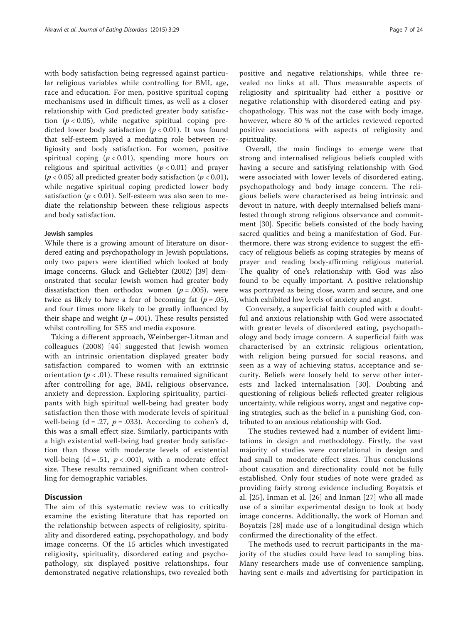with body satisfaction being regressed against particular religious variables while controlling for BMI, age, race and education. For men, positive spiritual coping mechanisms used in difficult times, as well as a closer relationship with God predicted greater body satisfaction  $(p < 0.05)$ , while negative spiritual coping predicted lower body satisfaction ( $p < 0.01$ ). It was found that self-esteem played a mediating role between religiosity and body satisfaction. For women, positive spiritual coping  $(p < 0.01)$ , spending more hours on religious and spiritual activities  $(p < 0.01)$  and prayer ( $p$  < 0.05) all predicted greater body satisfaction ( $p$  < 0.01), while negative spiritual coping predicted lower body satisfaction ( $p < 0.01$ ). Self-esteem was also seen to mediate the relationship between these religious aspects and body satisfaction.

### Jewish samples

While there is a growing amount of literature on disordered eating and psychopathology in Jewish populations, only two papers were identified which looked at body image concerns. Gluck and Geliebter (2002) [[39\]](#page-22-0) demonstrated that secular Jewish women had greater body dissatisfaction then orthodox women ( $p = .005$ ), were twice as likely to have a fear of becoming fat  $(p=.05)$ , and four times more likely to be greatly influenced by their shape and weight ( $p = .001$ ). These results persisted whilst controlling for SES and media exposure.

Taking a different approach, Weinberger-Litman and colleagues (2008) [[44](#page-22-0)] suggested that Jewish women with an intrinsic orientation displayed greater body satisfaction compared to women with an extrinsic orientation ( $p < .01$ ). These results remained significant after controlling for age, BMI, religious observance, anxiety and depression. Exploring spirituality, participants with high spiritual well-being had greater body satisfaction then those with moderate levels of spiritual well-being (d = .27,  $p = .033$ ). According to cohen's d, this was a small effect size. Similarly, participants with a high existential well-being had greater body satisfaction than those with moderate levels of existential well-being (d = .51,  $p < .001$ ), with a moderate effect size. These results remained significant when controlling for demographic variables.

#### Discussion

The aim of this systematic review was to critically examine the existing literature that has reported on the relationship between aspects of religiosity, spirituality and disordered eating, psychopathology, and body image concerns. Of the 15 articles which investigated religiosity, spirituality, disordered eating and psychopathology, six displayed positive relationships, four demonstrated negative relationships, two revealed both

positive and negative relationships, while three revealed no links at all. Thus measurable aspects of religiosity and spirituality had either a positive or negative relationship with disordered eating and psychopathology. This was not the case with body image, however, where 80 % of the articles reviewed reported positive associations with aspects of religiosity and spirituality.

Overall, the main findings to emerge were that strong and internalised religious beliefs coupled with having a secure and satisfying relationship with God were associated with lower levels of disordered eating, psychopathology and body image concern. The religious beliefs were characterised as being intrinsic and devout in nature, with deeply internalised beliefs manifested through strong religious observance and commitment [[30\]](#page-22-0). Specific beliefs consisted of the body having sacred qualities and being a manifestation of God. Furthermore, there was strong evidence to suggest the efficacy of religious beliefs as coping strategies by means of prayer and reading body-affirming religious material. The quality of one's relationship with God was also found to be equally important. A positive relationship was portrayed as being close, warm and secure, and one which exhibited low levels of anxiety and angst.

Conversely, a superficial faith coupled with a doubtful and anxious relationship with God were associated with greater levels of disordered eating, psychopathology and body image concern. A superficial faith was characterised by an extrinsic religious orientation, with religion being pursued for social reasons, and seen as a way of achieving status, acceptance and security. Beliefs were loosely held to serve other interests and lacked internalisation [\[30](#page-22-0)]. Doubting and questioning of religious beliefs reflected greater religious uncertainty, while religious worry, angst and negative coping strategies, such as the belief in a punishing God, contributed to an anxious relationship with God.

The studies reviewed had a number of evident limitations in design and methodology. Firstly, the vast majority of studies were correlational in design and had small to moderate effect sizes. Thus conclusions about causation and directionality could not be fully established. Only four studies of note were graded as providing fairly strong evidence including Boyatzis et al. [[25\]](#page-22-0), Inman et al. [[26](#page-22-0)] and Inman [[27\]](#page-22-0) who all made use of a similar experimental design to look at body image concerns. Additionally, the work of Homan and Boyatzis [[28\]](#page-22-0) made use of a longitudinal design which confirmed the directionality of the effect.

The methods used to recruit participants in the majority of the studies could have lead to sampling bias. Many researchers made use of convenience sampling, having sent e-mails and advertising for participation in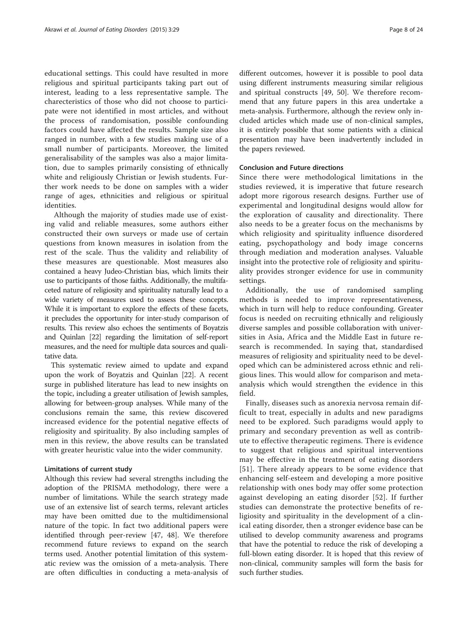educational settings. This could have resulted in more religious and spiritual participants taking part out of interest, leading to a less representative sample. The charecteristics of those who did not choose to participate were not identified in most articles, and without the process of randomisation, possible confounding factors could have affected the results. Sample size also ranged in number, with a few studies making use of a small number of participants. Moreover, the limited generalisability of the samples was also a major limitation, due to samples primarily consisting of ethnically white and religiously Christian or Jewish students. Further work needs to be done on samples with a wider range of ages, ethnicities and religious or spiritual identities.

Although the majority of studies made use of existing valid and reliable measures, some authors either constructed their own surveys or made use of certain questions from known measures in isolation from the rest of the scale. Thus the validity and reliability of these measures are questionable. Most measures also contained a heavy Judeo-Christian bias, which limits their use to participants of those faiths. Additionally, the multifaceted nature of religiosity and spirituality naturally lead to a wide variety of measures used to assess these concepts. While it is important to explore the effects of these facets, it precludes the opportunity for inter-study comparison of results. This review also echoes the sentiments of Boyatzis and Quinlan [[22](#page-22-0)] regarding the limitation of self-report measures, and the need for multiple data sources and qualitative data.

This systematic review aimed to update and expand upon the work of Boyatzis and Quinlan [\[22](#page-22-0)]. A recent surge in published literature has lead to new insights on the topic, including a greater utilisation of Jewish samples, allowing for between-group analyses. While many of the conclusions remain the same, this review discovered increased evidence for the potential negative effects of religiosity and spirituality. By also including samples of men in this review, the above results can be translated with greater heuristic value into the wider community.

### Limitations of current study

Although this review had several strengths including the adoption of the PRISMA methodology, there were a number of limitations. While the search strategy made use of an extensive list of search terms, relevant articles may have been omitted due to the multidimensional nature of the topic. In fact two additional papers were identified through peer-review [\[47](#page-23-0), [48\]](#page-23-0). We therefore recommend future reviews to expand on the search terms used. Another potential limitation of this systematic review was the omission of a meta-analysis. There are often difficulties in conducting a meta-analysis of

different outcomes, however it is possible to pool data using different instruments measuring similar religious and spiritual constructs [\[49](#page-23-0), [50\]](#page-23-0). We therefore recommend that any future papers in this area undertake a meta-analysis. Furthermore, although the review only included articles which made use of non-clinical samples, it is entirely possible that some patients with a clinical presentation may have been inadvertently included in the papers reviewed.

### Conclusion and Future directions

Since there were methodological limitations in the studies reviewed, it is imperative that future research adopt more rigorous research designs. Further use of experimental and longitudinal designs would allow for the exploration of causality and directionality. There also needs to be a greater focus on the mechanisms by which religiosity and spirituality influence disordered eating, psychopathology and body image concerns through mediation and moderation analyses. Valuable insight into the protective role of religiosity and spirituality provides stronger evidence for use in community settings.

Additionally, the use of randomised sampling methods is needed to improve representativeness, which in turn will help to reduce confounding. Greater focus is needed on recruiting ethnically and religiously diverse samples and possible collaboration with universities in Asia, Africa and the Middle East in future research is recommended. In saying that, standardised measures of religiosity and spirituality need to be developed which can be administered across ethnic and religious lines. This would allow for comparison and metaanalysis which would strengthen the evidence in this field.

Finally, diseases such as anorexia nervosa remain difficult to treat, especially in adults and new paradigms need to be explored. Such paradigms would apply to primary and secondary prevention as well as contribute to effective therapeutic regimens. There is evidence to suggest that religious and spiritual interventions may be effective in the treatment of eating disorders [[51](#page-23-0)]. There already appears to be some evidence that enhancing self-esteem and developing a more positive relationship with ones body may offer some protection against developing an eating disorder [[52\]](#page-23-0). If further studies can demonstrate the protective benefits of religiosity and spirituality in the development of a clinical eating disorder, then a stronger evidence base can be utilised to develop community awareness and programs that have the potential to reduce the risk of developing a full-blown eating disorder. It is hoped that this review of non-clinical, community samples will form the basis for such further studies.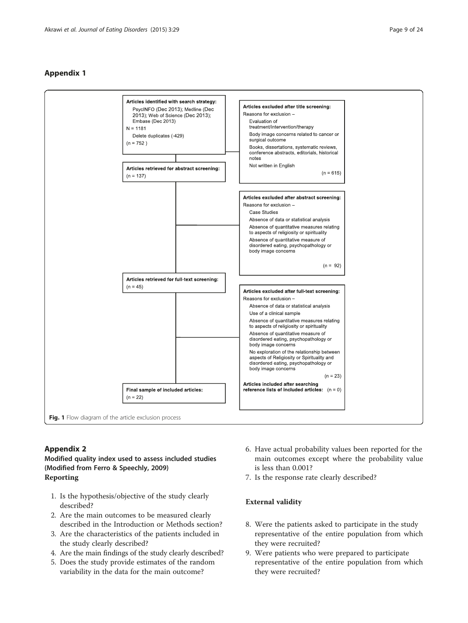### <span id="page-8-0"></span>Appendix 1



## Appendix 2

### Modified quality index used to assess included studies (Modified from Ferro & Speechly, 2009) Reporting

- 1. Is the hypothesis/objective of the study clearly described?
- 2. Are the main outcomes to be measured clearly described in the Introduction or Methods section?
- 3. Are the characteristics of the patients included in the study clearly described?
- 4. Are the main findings of the study clearly described?
- 5. Does the study provide estimates of the random variability in the data for the main outcome?
- 6. Have actual probability values been reported for the main outcomes except where the probability value is less than 0.001?
- 7. Is the response rate clearly described?

### External validity

- 8. Were the patients asked to participate in the study representative of the entire population from which they were recruited?
- 9. Were patients who were prepared to participate representative of the entire population from which they were recruited?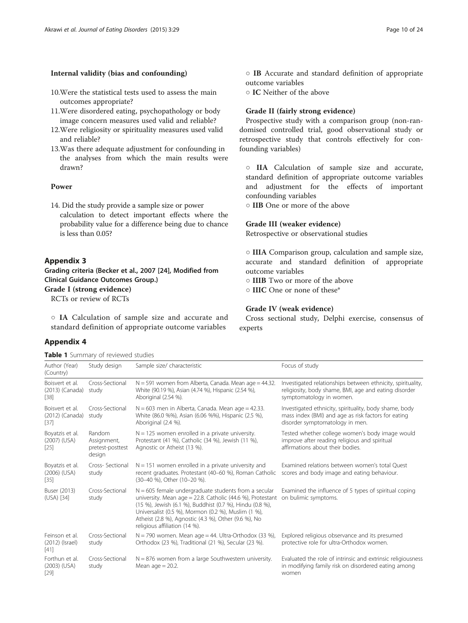### <span id="page-9-0"></span>Internal validity (bias and confounding)

- 10.Were the statistical tests used to assess the main outcomes appropriate?
- 11.Were disordered eating, psychopathology or body image concern measures used valid and reliable?
- 12.Were religiosity or spirituality measures used valid and reliable?
- 13.Was there adequate adjustment for confounding in the analyses from which the main results were drawn?

### Power

14. Did the study provide a sample size or power calculation to detect important effects where the probability value for a difference being due to chance is less than 0.05?

### Appendix 3

Grading criteria (Becker et al., 2007 [[24](#page-22-0)], Modified from Clinical Guidance Outcomes Group.) Grade I (strong evidence) RCTs or review of RCTs

○ IA Calculation of sample size and accurate and standard definition of appropriate outcome variables

### Appendix 4

Table 1 Summary of reviewed studies

○ IB Accurate and standard definition of appropriate outcome variables

○ IC Neither of the above

### Grade II (fairly strong evidence)

Prospective study with a comparison group (non-randomised controlled trial, good observational study or retrospective study that controls effectively for confounding variables)

○ IIA Calculation of sample size and accurate, standard definition of appropriate outcome variables and adjustment for the effects of important confounding variables

○ IIB One or more of the above

### Grade III (weaker evidence)

Retrospective or observational studies

○ IIIA Comparison group, calculation and sample size, accurate and standard definition of appropriate outcome variables

○ IIIB Two or more of the above

○ IIIC One or none of these\*

### Grade IV (weak evidence)

Cross sectional study, Delphi exercise, consensus of experts

| Author (Year)<br>(Country)                    | Study design                                        | Sample size/ characteristic                                                                                                                                                                                                                                                                                                      | Focus of study                                                                                                                                   |
|-----------------------------------------------|-----------------------------------------------------|----------------------------------------------------------------------------------------------------------------------------------------------------------------------------------------------------------------------------------------------------------------------------------------------------------------------------------|--------------------------------------------------------------------------------------------------------------------------------------------------|
| Boisvert et al.<br>(2013) (Canada)<br>[38]    | Cross-Sectional<br>study                            | $N = 591$ women from Alberta, Canada. Mean age = 44.32.<br>White (90.19 %), Asian (4.74 %), Hispanic (2.54 %),<br>Aboriginal (2.54 %).                                                                                                                                                                                           | Investigated relationships between ethnicity, spirituality,<br>religiosity, body shame, BMI, age and eating disorder<br>symptomatology in women. |
| Boisvert et al.<br>(2012) (Canada)<br>$[37]$  | Cross-Sectional<br>study                            | $N = 603$ men in Alberta, Canada. Mean age = 42.33.<br>White (86.0 %%), Asian (6.06 %%), Hispanic (2.5 %),<br>Aboriginal (2.4 %).                                                                                                                                                                                                | Investigated ethnicity, spirituality, body shame, body<br>mass index (BMI) and age as risk factors for eating<br>disorder symptomatology in men. |
| Boyatzis et al.<br>$(2007)$ (USA)<br>$[25]$   | Random<br>Assignment,<br>pretest-posttest<br>design | $N = 125$ women enrolled in a private university.<br>Protestant (41 %), Catholic (34 %), Jewish (11 %),<br>Agnostic or Atheist (13 %).                                                                                                                                                                                           | Tested whether college women's body image would<br>improve after reading religious and spiritual<br>affirmations about their bodies.             |
| Boyatzis et al.<br>$(2006)$ (USA)<br>$[35]$   | Cross- Sectional<br>study                           | $N = 151$ women enrolled in a private university and<br>recent graduates. Protestant (40-60 %), Roman Catholic<br>(30-40 %), Other (10-20 %).                                                                                                                                                                                    | Examined relations between women's total Ouest<br>scores and body image and eating behaviour.                                                    |
| Buser (2013)<br>(USA) [34]                    | Cross-Sectional<br>study                            | $N = 605$ female undergraduate students from a secular<br>university. Mean age = 22.8. Catholic (44.6 %), Protestant<br>(15 %), Jewish (6.1 %), Buddhist (0.7 %), Hindu (0.8 %),<br>Universalist (0.5 %), Mormon (0.2 %), Muslim (1 %),<br>Atheist (2.8 %), Agnostic (4.3 %), Other (9.6 %), No<br>religious affiliation (14 %). | Examined the influence of 5 types of spiritual coping<br>on bulimic symptoms.                                                                    |
| Feinson et al.<br>$(2012)$ (Israel)<br>$[41]$ | Cross-Sectional<br>study                            | $N = 790$ women. Mean age = 44. Ultra-Orthodox (33 %),<br>Orthodox (23 %), Traditional (21 %), Secular (23 %).                                                                                                                                                                                                                   | Explored religious observance and its presumed<br>protective role for ultra-Orthodox women.                                                      |
| Forthun et al.<br>$(2003)$ (USA)<br>$[29]$    | Cross-Sectional<br>study                            | $N = 876$ women from a large Southwestern university.<br>Mean $age = 20.2$ .                                                                                                                                                                                                                                                     | Evaluated the role of intrinsic and extrinsic religiousness<br>in modifying family risk on disordered eating among<br>women                      |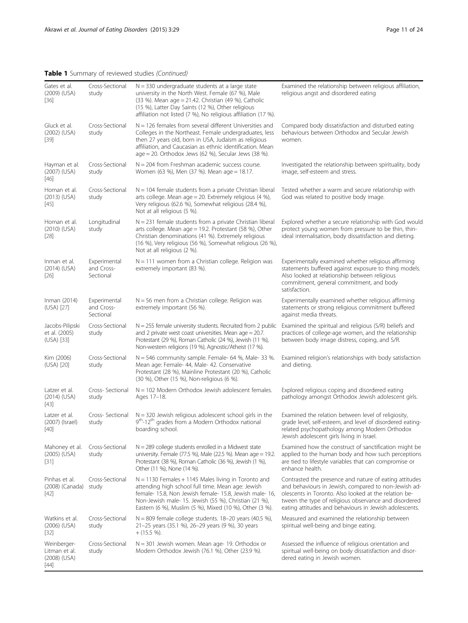### Table 1 Summary of reviewed studies (Continued)

| Gates et al.<br>$(2009)$ (USA)<br>$[36]$                   | Cross-Sectional<br>study                | $N = 330$ undergraduate students at a large state<br>university in the North West. Female (67 %), Male<br>(33 %). Mean age = 21.42. Christian (49 %), Catholic<br>(15 %), Latter Day Saints (12 %), Other religious<br>affiliation not listed (7 %), No religious affiliation (17 %).            | Examined the relationship between religious affiliation,<br>religious angst and disordered eating                                                                                                                                                                                          |
|------------------------------------------------------------|-----------------------------------------|--------------------------------------------------------------------------------------------------------------------------------------------------------------------------------------------------------------------------------------------------------------------------------------------------|--------------------------------------------------------------------------------------------------------------------------------------------------------------------------------------------------------------------------------------------------------------------------------------------|
| Gluck et al.<br>$(2002)$ (USA)<br>[39]                     | Cross-Sectional<br>study                | $N = 126$ females from several different Universities and<br>Colleges in the Northeast. Female undergraduates, less<br>then 27 years old, born in USA, Judaism as religious<br>affiliation, and Caucasian as ethnic identification. Mean<br>age = 20. Orthodox Jews (62 %), Secular Jews (38 %). | Compared body dissatisfaction and disturbed eating<br>behaviours between Orthodox and Secular Jewish<br>women.                                                                                                                                                                             |
| Hayman et al.<br>$(2007)$ (USA)<br>$[46]$                  | Cross-Sectional<br>study                | $N = 204$ from Freshman academic success course.<br>Women (63 %), Men (37 %). Mean age = 18.17.                                                                                                                                                                                                  | Investigated the relationship between spirituality, body<br>image, self-esteem and stress.                                                                                                                                                                                                 |
| Homan et al.<br>$(2013)$ (USA)<br>$[45]$                   | Cross-Sectional<br>study                | $N = 104$ female students from a private Christian liberal<br>arts college. Mean $age = 20$ . Extremely religious (4 %),<br>Very religious (62.6 %), Somewhat religious (28.4 %),<br>Not at all religious (5 %).                                                                                 | Tested whether a warm and secure relationship with<br>God was related to positive body image.                                                                                                                                                                                              |
| Homan et al.<br>$(2010)$ (USA)<br>$[28]$                   | Longitudinal<br>study                   | $N = 231$ female students from a private Christian liberal<br>arts college. Mean $age = 19.2$ . Protestant (58 %), Other<br>Christian denominations (41 %). Extremely religious<br>(16 %), Very religious (56 %), Somewhat religious (26 %),<br>Not at all religious (2 %).                      | Explored whether a secure relationship with God would<br>protect young women from pressure to be thin, thin-<br>ideal internalisation, body dissatisfaction and dieting.                                                                                                                   |
| Inman et al.<br>$(2014)$ (USA)<br>$[26]$                   | Experimental<br>and Cross-<br>Sectional | $N = 111$ women from a Christian college. Religion was<br>extremely important (83 %).                                                                                                                                                                                                            | Experimentally examined whether religious affirming<br>statements buffered against exposure to thing models.<br>Also looked at relationship between religious<br>commitment, general commitment, and body<br>satisfaction.                                                                 |
| Inman (2014)<br>(USA) [27]                                 | Experimental<br>and Cross-<br>Sectional | $N = 56$ men from a Christian college. Religion was<br>extremely important (56 %).                                                                                                                                                                                                               | Experimentally examined whether religious affirming<br>statements or strong religious commitment buffered<br>against media threats.                                                                                                                                                        |
| Jacobs-Pilipski<br>et al. (2005)<br>(USA) [33]             | Cross-Sectional<br>study                | $N = 255$ female university students. Recruited from 2 public<br>and 2 private west coast universities. Mean age $= 20.7$ .<br>Protestant (29 %), Roman Catholic (24 %), Jewish (11 %),<br>Non-western religions (19 %), Agnostic/Atheist (17 %).                                                | Examined the spiritual and religious (S/R) beliefs and<br>practices of college-age women, and the relationship<br>between body image distress, coping, and S/R.                                                                                                                            |
| Kim (2006)<br>(USA) [20]                                   | Cross-Sectional<br>study                | $N = 546$ community sample. Female- 64 %, Male- 33 %.<br>Mean age: Female- 44, Male- 42. Conservative<br>Protestant (28 %), Mainline Protestant (20 %), Catholic<br>(30 %), Other (15 %), Non-religious (6 %).                                                                                   | Examined religion's relationships with body satisfaction<br>and dieting.                                                                                                                                                                                                                   |
| Latzer et al.<br>$(2014)$ (USA)<br>$[43]$                  | Cross- Sectional<br>study               | $N = 102$ Modern Orthodox Jewish adolescent females.<br>Ages 17-18.                                                                                                                                                                                                                              | Explored religious coping and disordered eating<br>pathology amongst Orthodox Jewish adolescent girls.                                                                                                                                                                                     |
| Latzer et al.<br>$(2007)$ (Israel)<br>$[40]$               | Cross- Sectional<br>study               | $N = 320$ Jewish religious adolescent school girls in the<br>9 <sup>th</sup> -12 <sup>th</sup> grades from a Modern Orthodox national<br>boarding school.                                                                                                                                        | Examined the relation between level of religiosity,<br>grade level, self-esteem, and level of disordered eating-<br>related psychopathology among Modern Orthodox<br>Jewish adolescent girls living in Israel.                                                                             |
| Mahoney et al.<br>$(2005)$ (USA)<br>$[31]$                 | Cross-Sectional<br>study                | $N = 289$ college students enrolled in a Midwest state<br>university. Female (77.5 %), Male (22.5 %). Mean age = 19.2.<br>Protestant (38 %), Roman Catholic (36 %), Jewish (1 %),<br>Other (11 %), None (14 %).                                                                                  | Examined how the construct of sanctification might be<br>applied to the human body and how such perceptions<br>are tied to lifestyle variables that can compromise or<br>enhance health.                                                                                                   |
| Pinhas et al.<br>(2008) (Canada)<br>$[42]$                 | Cross-Sectional<br>study                | $N = 1130$ Females + 1145 Males living in Toronto and<br>attending high school full time. Mean age: Jewish<br>female-15.8, Non Jewish female-15.8, Jewish male-16,<br>Non-Jewish male- 15. Jewish (55 %), Christian (21 %),<br>Eastern (6 %), Muslim (5 %), Mixed (10 %), Other (3 %).           | Contrasted the presence and nature of eating attitudes<br>and behaviours in Jewish, compared to non-Jewish ad-<br>olescents in Toronto. Also looked at the relation be-<br>tween the type of religious observance and disordered<br>eating attitudes and behaviours in Jewish adolescents. |
| Watkins et al.<br>$(2006)$ (USA)<br>$[32]$                 | Cross-Sectional<br>study                | $N = 809$ female college students. 18-20 years (40.5 %),<br>21-25 years (35.1 %), 26-29 years (9 %), 30 years<br>$+$ (15.5 %).                                                                                                                                                                   | Measured and examined the relationship between<br>spiritual well-being and binge eating.                                                                                                                                                                                                   |
| Weinberger-<br>Litman et al.<br>$(2008)$ $(USA)$<br>$[44]$ | Cross-Sectional<br>study                | $N = 301$ Jewish women. Mean age- 19. Orthodox or<br>Modern Orthodox Jewish (76.1 %), Other (23.9 %).                                                                                                                                                                                            | Assessed the influence of religious orientation and<br>spiritual well-being on body dissatisfaction and disor-<br>dered eating in Jewish women.                                                                                                                                            |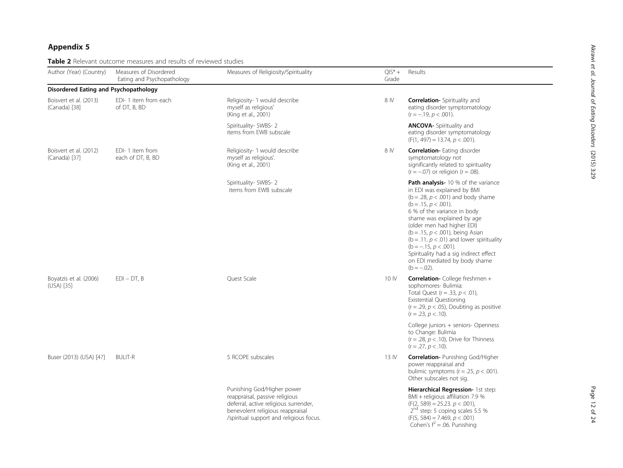# <span id="page-11-0"></span>Appendix 5

Table 2 Relevant outcome measures and results of reviewed studies

| Author (Year) (Country)                 | Measures of Disordered<br>Eating and Psychopathology | Measures of Religiosity/Spirituality                                                                                                                                                 | $OIS^* +$<br>Grade | Results                                                                                                                                                                                                                                                                                                                                                                                                                                            |
|-----------------------------------------|------------------------------------------------------|--------------------------------------------------------------------------------------------------------------------------------------------------------------------------------------|--------------------|----------------------------------------------------------------------------------------------------------------------------------------------------------------------------------------------------------------------------------------------------------------------------------------------------------------------------------------------------------------------------------------------------------------------------------------------------|
| Disordered Eating and Psychopathology   |                                                      |                                                                                                                                                                                      |                    |                                                                                                                                                                                                                                                                                                                                                                                                                                                    |
| Boisvert et al. (2013)<br>(Canada) [38] | EDI- 1 item from each<br>of DT, B, BD                | Religiosity- 'I would describe<br>myself as religious'<br>(King et al., 2001)                                                                                                        | 8 IV               | <b>Correlation-</b> Spirituality and<br>eating disorder symptomatology<br>$(r = -.19, p < .001).$                                                                                                                                                                                                                                                                                                                                                  |
|                                         |                                                      | Spirituality-SWBS-2<br>items from EWB subscale                                                                                                                                       |                    | <b>ANCOVA-</b> Spirituality and<br>eating disorder symptomatology<br>$(F(1, 497) = 13.74, p < .001).$                                                                                                                                                                                                                                                                                                                                              |
| Boisvert et al. (2012)<br>(Canada) [37] | EDI- 1 item from<br>each of DT, B, BD                | Religiosity- 'I would describe<br>myself as religious'.<br>(King et al., 2001)                                                                                                       | 8 IV               | <b>Correlation-</b> Eating disorder<br>symptomatology not<br>significantly related to spirituality<br>$(r = -.07)$ or religion $(r = .08)$ .                                                                                                                                                                                                                                                                                                       |
|                                         |                                                      | Spirituality- SWBS-2<br>items from EWB subscale                                                                                                                                      |                    | Path analysis- 10 % of the variance<br>in EDI was explained by BMI<br>(b = .28, $p$ < .001) and body shame<br>$(b=.15, p < .001).$<br>6 % of the variance in body<br>shame was explained by age<br>(older men had higher EDI)<br>(b = .15, $p < .001$ ), being Asian<br>( $b = .11$ , $p < .01$ ) and lower spirituality<br>$(b = -0.15, p < 0.001).$<br>Spirituality had a sig indirect effect<br>on EDI mediated by body shame<br>$(b = -.02)$ . |
| Boyatzis et al. (2006)<br>$(USA)$ [35]  | $EDI - DT, B$                                        | Quest Scale                                                                                                                                                                          | 10 IV              | <b>Correlation-</b> College freshmen +<br>sophomores- Bulimia:<br>Total Quest ( $r = .33$ , $p < .01$ ),<br><b>Existential Questioning</b><br>$(r = .29, p < .05)$ , Doubting as positive<br>$(r = .23, p < .10).$                                                                                                                                                                                                                                 |
|                                         |                                                      |                                                                                                                                                                                      |                    | College juniors + seniors- Openness<br>to Change: Bulimia<br>$(r = .28, p < .10)$ , Drive for Thinness<br>$(r = .27, p < .10)$ .                                                                                                                                                                                                                                                                                                                   |
| Buser (2013) (USA) [47]                 | <b>BULIT-R</b>                                       | 5 RCOPE subscales                                                                                                                                                                    | 13 IV              | <b>Correlation-</b> Punishing God/Higher<br>power reappraisal and<br>bulimic symptoms ( $r = 0.25$ , $p < 0.001$ ).<br>Other subscales not sig.                                                                                                                                                                                                                                                                                                    |
|                                         |                                                      | Punishing God/Higher power<br>reappraisal, passive religious<br>deferral, active religious surrender,<br>benevolent religious reappraisal<br>/spiritual support and religious focus. |                    | Hierarchical Regression- 1st step:<br>BMI + religious affiliation 7.9 %<br>$(F(2, 589) = 25.23. p < .001)$ ,<br>2 <sup>nd</sup> step: 5 coping scales 5.5 %<br>$(F(5, 584) = 7.469, p < .001)$<br>Cohen's $f^2 = .06$ . Punishing                                                                                                                                                                                                                  |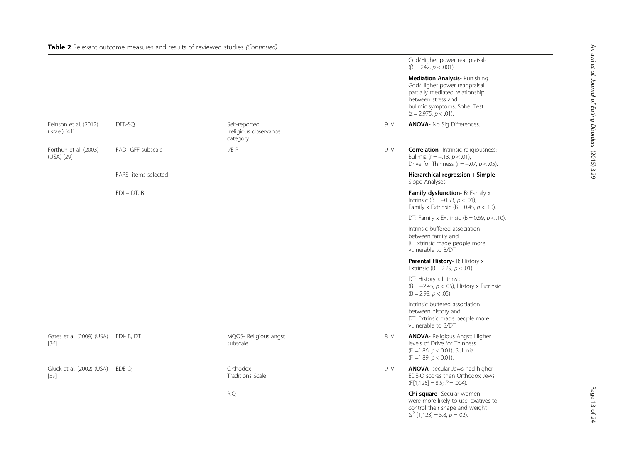|                                                |                      |                                                   |      | God/Higher power reappraisal-<br>$(\beta = .242, p < .001).$                                                                                                                      |
|------------------------------------------------|----------------------|---------------------------------------------------|------|-----------------------------------------------------------------------------------------------------------------------------------------------------------------------------------|
|                                                |                      |                                                   |      | Mediation Analysis- Punishing<br>God/Higher power reappraisal<br>partially mediated relationship<br>between stress and<br>bulimic symptoms. Sobel Test<br>$(z = 2.975, p < .01).$ |
| Feinson et al. (2012)<br>(Israel) [41]         | DEB-SQ               | Self-reported<br>religious observance<br>category | 9 IV | ANOVA- No Sig Differences.                                                                                                                                                        |
| Forthun et al. (2003)<br>(USA) [29]            | FAD- GFF subscale    | $I/E-R$                                           | 9 IV | <b>Correlation-</b> Intrinsic religiousness:<br>Bulimia ( $r = -.13$ , $p < .01$ ),<br>Drive for Thinness ( $r = -.07$ , $p < .05$ ).                                             |
|                                                | FARS- items selected |                                                   |      | Hierarchical regression + Simple<br>Slope Analyses                                                                                                                                |
|                                                | $EDI - DT, B$        |                                                   |      | Family dysfunction- B: Family x<br>Intrinsic (B = $-0.53$ , p < .01),<br>Family x Extrinsic ( $B = 0.45$ , $p < .10$ ).                                                           |
|                                                |                      |                                                   |      | DT: Family x Extrinsic ( $B = 0.69$ , $p < .10$ ).                                                                                                                                |
|                                                |                      |                                                   |      | Intrinsic buffered association<br>between family and<br>B. Extrinsic made people more<br>vulnerable to B/DT.                                                                      |
|                                                |                      |                                                   |      | Parental History- B: History x<br>Extrinsic (B = 2.29, $p < .01$ ).                                                                                                               |
|                                                |                      |                                                   |      | DT: History x Intrinsic<br>$(B = -2.45, p < .05)$ , History x Extrinsic<br>$(B = 2.98, p < .05).$                                                                                 |
|                                                |                      |                                                   |      | Intrinsic buffered association<br>between history and<br>DT. Extrinsic made people more<br>vulnerable to B/DT.                                                                    |
| Gates et al. (2009) (USA) EDI- B, DT<br>$[36]$ |                      | MQOS- Religious angst<br>subscale                 | 8 IV | <b>ANOVA-</b> Religious Angst: Higher<br>levels of Drive for Thinness<br>$(F = 1.86, p < 0.01)$ , Bulimia<br>$(F = 1.89, p < 0.01)$ .                                             |
| Gluck et al. (2002) (USA)<br>$[39]$            | EDE-O                | Orthodox<br><b>Traditions Scale</b>               | 9 IV | <b>ANOVA-</b> secular Jews had higher<br>EDE-Q scores then Orthodox Jews<br>$(F[1, 125] = 8.5; P = .004).$                                                                        |
|                                                |                      | <b>RIQ</b>                                        |      | Chi-square- Secular women<br>were more likely to use laxatives to<br>control their shape and weight<br>$(x^2 [1, 123] = 5.8, p = .02)$ .                                          |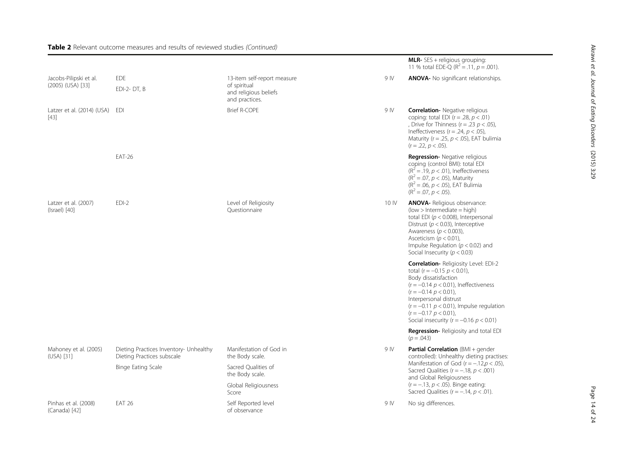### Table 2 Relevant outcome measures and results of reviewed studies (Continued)

|                                              |                                                                      |                                                                                        |       | <b>MLR-</b> SES + religious grouping:<br>11 % total EDE-Q ( $R^2$ = .11, $p$ = .001).                                                                                                                                                                                                                                                   |
|----------------------------------------------|----------------------------------------------------------------------|----------------------------------------------------------------------------------------|-------|-----------------------------------------------------------------------------------------------------------------------------------------------------------------------------------------------------------------------------------------------------------------------------------------------------------------------------------------|
| Jacobs-Pilipski et al.<br>(2005) (USA) [33]  | <b>EDE</b><br>EDI-2- DT, B                                           | 13-item self-report measure<br>of spiritual<br>and religious beliefs<br>and practices. | 9 IV  | <b>ANOVA-</b> No significant relationships.                                                                                                                                                                                                                                                                                             |
| Latzer et al. (2014) (USA) EDI<br>$[43]$     |                                                                      | <b>Brief R-COPE</b>                                                                    | 9 IV  | <b>Correlation-</b> Negative religious<br>coping: total EDI ( $r = .28$ , $p < .01$ )<br>, Drive for Thinness ( $r = .23$ $p < .05$ ),<br>Ineffectiveness ( $r = .24$ , $p < .05$ ),<br>Maturity ( $r = 0.25$ , $p < 0.05$ ), EAT bulimia<br>$(r = .22, p < .05)$ .                                                                     |
|                                              | <b>EAT-26</b>                                                        |                                                                                        |       | Regression- Negative religious<br>coping (control BMI): total EDI<br>$(R^2 = .19, p < .01)$ , Ineffectiveness<br>$(R^2 = .07, p < .05)$ , Maturity<br>$(R^2 = .06, p < .05)$ , EAT Bulimia<br>$(R2 = .07, p < .05)$ .                                                                                                                   |
| Latzer et al. (2007)<br>$($ srael $)$ $[40]$ | $EDI-2$                                                              | Level of Religiosity<br>Questionnaire                                                  | 10 IV | <b>ANOVA-</b> Religious observance:<br>$(low>$ Intermediate = high)<br>total EDI ( $p < 0.008$ ), Interpersonal<br>Distrust ( $p < 0.03$ ), Interceptive<br>Awareness ( $p < 0.003$ ),<br>Asceticism ( $p < 0.01$ ),<br>Impulse Regulation ( $p < 0.02$ ) and<br>Social Insecurity ( $p < 0.03$ )                                       |
|                                              |                                                                      |                                                                                        |       | Correlation- Religiosity Level: EDI-2<br>total ( $r = -0.15$ $p < 0.01$ ),<br>Body dissatisfaction<br>$(r = -0.14 \ p < 0.01)$ , Ineffectiveness<br>$(r = -0.14 \ p < 0.01)$ ,<br>Interpersonal distrust<br>$(r = -0.11 \ p < 0.01)$ , Impulse regulation<br>$(r = -0.17 \ p < 0.01)$ ,<br>Social insecurity ( $r = -0.16$ $p < 0.01$ ) |
|                                              |                                                                      |                                                                                        |       | Regression- Religiosity and total EDI<br>$(p=.043)$                                                                                                                                                                                                                                                                                     |
| Mahoney et al. (2005)<br>(USA) [31]          | Dieting Practices Inventory- Unhealthy<br>Dieting Practices subscale | Manifestation of God in<br>the Body scale.                                             | 9 IV  | Partial Correlation (BMI + gender<br>controlled): Unhealthy dieting practises:                                                                                                                                                                                                                                                          |
|                                              | <b>Binge Eating Scale</b>                                            | Sacred Qualities of<br>the Body scale.<br>Global Religiousness<br>Score                |       | Manifestation of God ( $r = -12$ , $p < .05$ ),<br>Sacred Qualities ( $r = -.18$ , $p < .001$ )<br>and Global Religiousness                                                                                                                                                                                                             |
|                                              |                                                                      |                                                                                        |       | $(r = -.13, p < .05)$ . Binge eating:<br>Sacred Qualities ( $r = -.14$ , $p < .01$ ).                                                                                                                                                                                                                                                   |
| Pinhas et al. (2008)<br>(Canada) [42]        | <b>EAT 26</b>                                                        | Self Reported level<br>of observance                                                   | 9 IV  | No sig differences.                                                                                                                                                                                                                                                                                                                     |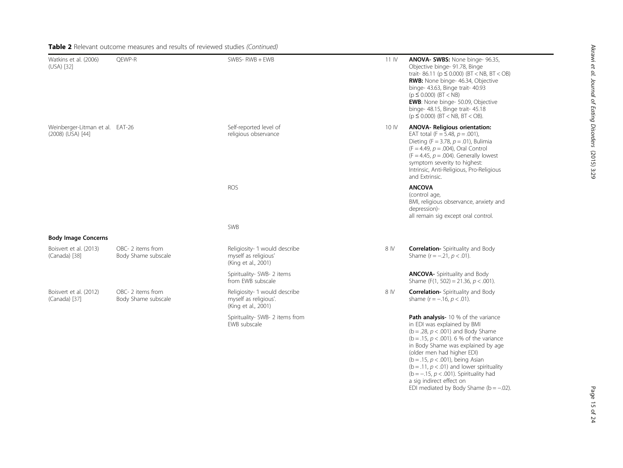### Table 2 Relevant outcome measures and results of reviewed studies (Continued)

| Watkins et al. (2006)<br>$(USA)$ [32]                | OEWP-R                                   | SWBS- $RWB + EWB$                                                              | 11 IV | ANOVA- SWBS: None binge- 96.35,<br>Objective binge- 91.78, Binge<br>trait-86.11 ( $p \le 0.000$ ) (BT < NB, BT < OB)<br>RWB: None binge- 46.34, Objective<br>binge- 43.63, Binge trait- 40.93<br>$(p \le 0.000)$ (BT < NB)<br>EWB: None binge- 50.09, Objective<br>binge- 48.15, Binge trait- 45.18<br>$(p \le 0.000)$ (BT < NB, BT < OB).                                                                   |
|------------------------------------------------------|------------------------------------------|--------------------------------------------------------------------------------|-------|--------------------------------------------------------------------------------------------------------------------------------------------------------------------------------------------------------------------------------------------------------------------------------------------------------------------------------------------------------------------------------------------------------------|
| Weinberger-Litman et al. EAT-26<br>(2008) (USA) [44] |                                          | Self-reported level of<br>religious observance                                 | 10 IV | <b>ANOVA- Religious orientation:</b><br>EAT total (F = 5.48, $p = .001$ ),<br>Dieting (F = 3.78, $p = .01$ ), Bulimia<br>$(F = 4.49, p = .004)$ , Oral Control<br>$(F = 4.45, p = .004)$ . Generally lowest<br>symptom severity to highest:<br>Intrinsic, Anti-Religious, Pro-Religious<br>and Extrinsic.                                                                                                    |
|                                                      |                                          | <b>ROS</b>                                                                     |       | <b>ANCOVA</b><br>(control age,<br>BMI, religious observance, anxiety and<br>depression)-<br>all remain sig except oral control.                                                                                                                                                                                                                                                                              |
|                                                      |                                          | <b>SWB</b>                                                                     |       |                                                                                                                                                                                                                                                                                                                                                                                                              |
| <b>Body Image Concerns</b>                           |                                          |                                                                                |       |                                                                                                                                                                                                                                                                                                                                                                                                              |
| Boisvert et al. (2013)<br>(Canada) [38]              | OBC-2 items from<br>Body Shame subscale  | Religiosity- 'I would describe<br>myself as religious'<br>(King et al., 2001)  | 8 IV  | <b>Correlation-</b> Spirituality and Body<br>Shame ( $r = -.21$ , $p < .01$ ).                                                                                                                                                                                                                                                                                                                               |
|                                                      |                                          | Spirituality- SWB- 2 items<br>from EWB subscale                                |       | <b>ANCOVA-</b> Spirituality and Body<br>Shame (F(1, 502) = 21.36, $p < .001$ ).                                                                                                                                                                                                                                                                                                                              |
| Boisvert et al. (2012)<br>(Canada) [37]              | OBC- 2 items from<br>Body Shame subscale | Religiosity- 'I would describe<br>myself as religious'.<br>(King et al., 2001) | 8 IV  | <b>Correlation-</b> Spirituality and Body<br>shame ( $r = -.16$ , $p < .01$ ).                                                                                                                                                                                                                                                                                                                               |
|                                                      |                                          | Spirituality- SWB- 2 items from<br>EWB subscale                                |       | Path analysis- 10 % of the variance<br>in EDI was explained by BMI<br>( $b = .28$ , $p < .001$ ) and Body Shame<br>(b = .15, $p < .001$ ). 6 % of the variance<br>in Body Shame was explained by age<br>(older men had higher EDI)<br>(b = .15, $p < .001$ ), being Asian<br>( $b = .11$ , $p < .01$ ) and lower spirituality<br>( $b = -0.15$ , $p < 0.001$ ). Spirituality had<br>a cia indirect effect on |

a sig indirect effect on EDI mediated by Body Shame ( $b = -.02$ ).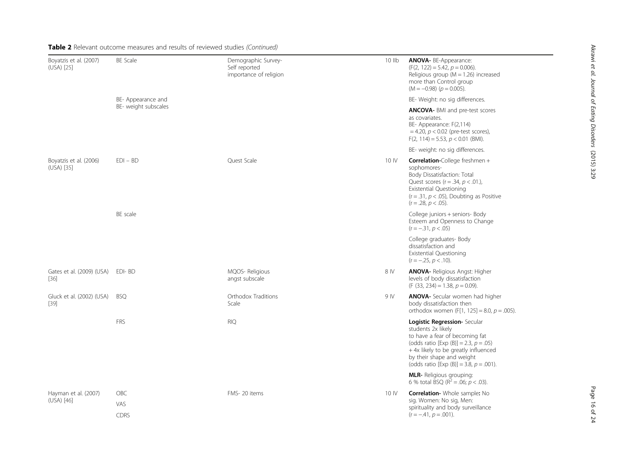| Boyatzis et al. (2007)<br>(USA) [25] | BE Scale             | Demographic Survey-<br>Self reported<br>importance of religion | 10 llb | <b>ANOVA-</b> BE-Appearance:<br>$(F(2, 122) = 5.42, p = 0.006).$<br>Religious group ( $M = 1.26$ ) increased<br>more than Control group<br>$(M = -0.98)$ $(p = 0.005)$ .                                                                           |
|--------------------------------------|----------------------|----------------------------------------------------------------|--------|----------------------------------------------------------------------------------------------------------------------------------------------------------------------------------------------------------------------------------------------------|
|                                      | BE- Appearance and   |                                                                |        | BE- Weight: no sig differences.                                                                                                                                                                                                                    |
|                                      | BE- weight subscales |                                                                |        | <b>ANCOVA-</b> BMI and pre-test scores<br>as covariates.<br>BE- Appearance: F(2,114)<br>$= 4.20, p < 0.02$ (pre-test scores),<br>$F(2, 114) = 5.53$ , $p < 0.01$ (BMI).                                                                            |
|                                      |                      |                                                                |        | BE- weight: no sig differences.                                                                                                                                                                                                                    |
| Boyatzis et al. (2006)<br>(USA) [35] | $EDI - BD$           | Quest Scale                                                    | 10 IV  | Correlation-College freshmen +<br>sophomores-<br>Body Dissatisfaction: Total<br>Quest scores ( $r = .34$ , $p < .01$ .),<br><b>Existential Questioning</b><br>$(r = .31, p < .05)$ , Doubting as Positive<br>$(r = .28, p < .05).$                 |
|                                      | BE scale             |                                                                |        | College juniors + seniors- Body<br>Esteem and Openness to Change<br>$(r = -31, p < .05)$                                                                                                                                                           |
|                                      |                      |                                                                |        | College graduates- Body<br>dissatisfaction and<br><b>Existential Questioning</b><br>$(r = -.25, p < .10).$                                                                                                                                         |
| Gates et al. (2009) (USA)<br>$[36]$  | EDI-BD               | MQOS- Religious<br>angst subscale                              | 8 IV   | <b>ANOVA-</b> Religious Angst: Higher<br>levels of body dissatisfaction<br>$(F (33, 234) = 1.38, p = 0.09).$                                                                                                                                       |
| Gluck et al. (2002) (USA)<br>$[39]$  | <b>BSQ</b>           | Orthodox Traditions<br>Scale                                   | 9 IV   | <b>ANOVA-</b> Secular women had higher<br>body dissatisfaction then<br>orthodox women (F[1, 125] = 8.0, $p = .005$ ).                                                                                                                              |
|                                      | FRS                  | <b>RIQ</b>                                                     |        | Logistic Regression- Secular<br>students 2x likely<br>to have a fear of becoming fat<br>(odds ratio [Exp (B)] = 2.3, $p = .05$ )<br>+4x likely to be greatly influenced<br>by their shape and weight<br>(odds ratio [Exp (B)] = 3.8, $p = .001$ ). |
|                                      |                      |                                                                |        | <b>MLR-</b> Religious grouping:<br>6 % total BSQ ( $R^2$ = .06; $p < .03$ ).                                                                                                                                                                       |
| Hayman et al. (2007)                 | OBC                  | FMS-20 items                                                   | 10 IV  | Correlation- Whole sample: No                                                                                                                                                                                                                      |

### Table 2 Relevant outcome measures and results of reviewed studies (Continued)

(USA) [\[46](#page-23-0)]

VAS CDRS

OBC The FMS- 20 items 10 IV Correlation- Whole sample: No sig. Women: No sig, Men: spirituality and body surveillance  $(r = -0.41, p = 0.001)$ .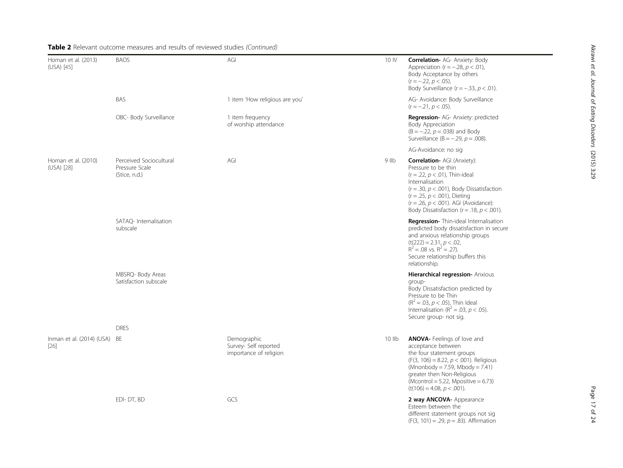| Homan et al. (2013)<br>$(USA)$ [45]    | <b>BAOS</b>                                                | AGI                                                            | 10 IV    | <b>Correlation- AG- Anxiety: Body</b><br>Appreciation ( $r = -.28$ , $p < .01$ ),<br>Body Acceptance by others<br>$(r = -.22, p < .05)$ ,<br>Body Surveillance ( $r = -.33$ , $p < .01$ ).                                                                                                           |
|----------------------------------------|------------------------------------------------------------|----------------------------------------------------------------|----------|------------------------------------------------------------------------------------------------------------------------------------------------------------------------------------------------------------------------------------------------------------------------------------------------------|
|                                        | <b>BAS</b>                                                 | 1 item 'How religious are you'                                 |          | AG- Avoidance: Body Surveillance<br>$(r = -.21, p < .05)$ .                                                                                                                                                                                                                                          |
|                                        | OBC- Body Surveillance                                     | 1 item frequency<br>of worship attendance                      |          | Regression- AG- Anxiety: predicted<br>Body Appreciation<br>$(B = -.22, p = .038)$ and Body<br>Surveillance ( $B = -.29$ , $p = .008$ ).                                                                                                                                                              |
|                                        |                                                            |                                                                |          | AG-Avoidance: no sig                                                                                                                                                                                                                                                                                 |
| Homan et al. (2010)<br>(USA) [28]      | Perceived Sociocultural<br>Pressure Scale<br>(Stice, n.d.) | AGI                                                            | $9$ llb  | <b>Correlation- AGI (Anxiety):</b><br>Pressure to be thin<br>$(r = .22, p < .01)$ , Thin-ideal<br>Internalisation<br>$(r = .30, p < .001)$ , Body Dissatisfaction<br>$(r = .25, p < .001)$ , Dieting<br>$(r = .26, p < .001)$ . AGI (Avoidance):<br>Body Dissatisfaction ( $r = .18$ , $p < .001$ ). |
|                                        | SATAQ- Internalisation<br>subscale                         |                                                                |          | Regression- Thin-ideal Internalisation<br>predicted body dissatisfaction in secure<br>and anxious relationship groups<br>$(t(222) = 2.31, p < 0.02,$<br>$R^2$ = .08 vs. $R^2$ = .27).<br>Secure relationship buffers this<br>relationship.                                                           |
|                                        | MBSRQ- Body Areas<br>Satisfaction subscale                 |                                                                |          | Hierarchical regression- Anxious<br>qroup-<br>Body Dissatisfaction predicted by<br>Pressure to be Thin<br>$(R^2 = .03, p < .05)$ , Thin Ideal<br>Internalisation ( $R^2$ = .03, $p$ < .05).<br>Secure group- not sig.                                                                                |
|                                        | <b>DRES</b>                                                |                                                                |          |                                                                                                                                                                                                                                                                                                      |
| Inman et al. (2014) (USA) BE<br>$[26]$ |                                                            | Demographic<br>Survey- Self reported<br>importance of religion | $10$ llb | ANOVA- Feelings of love and<br>acceptance between<br>the four statement groups<br>$(F(3, 106) = 8.22, p < .001)$ . Religious<br>$(Mnonbody = 7.59, Mbody = 7.41)$<br>greater then Non-Religious<br>$(Mcontrol = 5.22, Mpositive = 6.73)$<br>$(t(106) = 4.08, p < .001)$ .                            |
|                                        | EDI-DT. BD                                                 | GCS                                                            |          | 2 way ANCOVA- Appearance<br>Esteem between the<br>different statement groups not sig<br>$(F(3, 101) = .29, p = .83)$ . Affirmation                                                                                                                                                                   |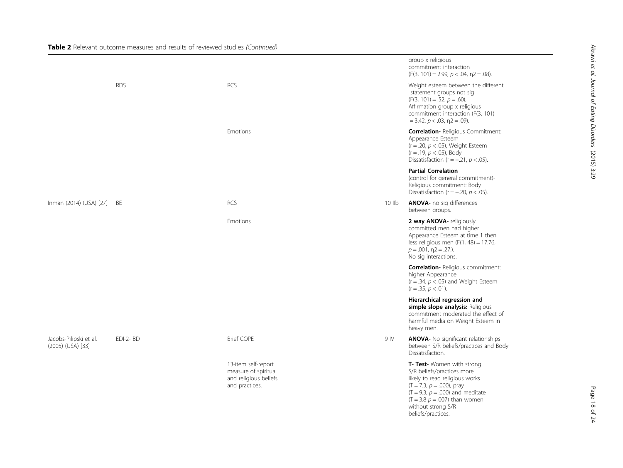|                                             |            |                                                                                        |          | group x religious<br>commitment interaction<br>$(F(3, 101) = 2.99, p < .04, \eta2 = .08).$                                                                                                                                                      |
|---------------------------------------------|------------|----------------------------------------------------------------------------------------|----------|-------------------------------------------------------------------------------------------------------------------------------------------------------------------------------------------------------------------------------------------------|
|                                             | <b>RDS</b> | <b>RCS</b>                                                                             |          | Weight esteem between the different<br>statement groups not sig<br>$(F(3, 101) = .52, p = .60)$ ,<br>Affirmation group x religious<br>commitment interaction (F(3, 101)<br>$=$ 3.42, $p < .03$ , $p = .09$ ).                                   |
|                                             |            | Emotions                                                                               |          | <b>Correlation-</b> Religious Commitment:<br>Appearance Esteem<br>$(r = .20, p < .05)$ , Weight Esteem<br>$(r = .19, p < .05)$ , Body<br>Dissatisfaction ( $r = -.21$ , $p < .05$ ).                                                            |
|                                             |            |                                                                                        |          | <b>Partial Correlation</b><br>(control for general commitment)-<br>Religious commitment: Body<br>Dissatisfaction ( $r = -.20$ , $p < .05$ ).                                                                                                    |
| Inman (2014) (USA) [27]                     | BE         | <b>RCS</b>                                                                             | $10$ llb | <b>ANOVA-</b> no sig differences<br>between groups.                                                                                                                                                                                             |
|                                             |            | Emotions                                                                               |          | 2 way ANOVA- religiously<br>committed men had higher<br>Appearance Esteem at time 1 then<br>less religious men $(F(1, 48) = 17.76,$<br>$p = .001$ , $p = .27$ .).<br>No sig interactions.                                                       |
|                                             |            |                                                                                        |          | <b>Correlation-</b> Religious commitment:<br>higher Appearance<br>$(r = .34, p < .05)$ and Weight Esteem<br>$(r = .35, p < .01).$                                                                                                               |
|                                             |            |                                                                                        |          | Hierarchical regression and<br>simple slope analysis: Religious<br>commitment moderated the effect of<br>harmful media on Weight Esteem in<br>heavy men.                                                                                        |
| Jacobs-Pilipski et al.<br>(2005) (USA) [33] | $EDI-2-BD$ | <b>Brief COPE</b>                                                                      | 9 IV     | ANOVA- No significant relationships<br>between S/R beliefs/practices and Body<br>Dissatisfaction.                                                                                                                                               |
|                                             |            | 13-item self-report<br>measure of spiritual<br>and religious beliefs<br>and practices. |          | T- Test- Women with strong<br>S/R beliefs/practices more<br>likely to read religious works<br>$(T = 7.3, p = .000)$ , pray<br>$(T = 9.3, p = .000)$ and meditate<br>$(T = 3.8 p = .007)$ than women<br>without strong S/R<br>beliefs/practices. |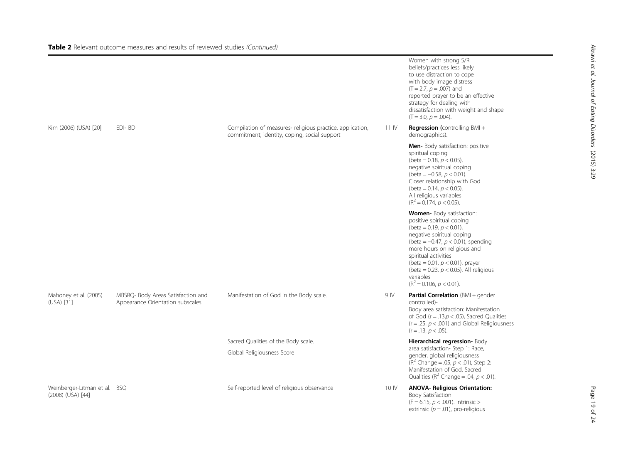|                                                   |                                                                        |                                                                                                           |       | Women with strong S/R<br>beliefs/practices less likely<br>to use distraction to cope                                                                                                                                                                                                                                                                 |
|---------------------------------------------------|------------------------------------------------------------------------|-----------------------------------------------------------------------------------------------------------|-------|------------------------------------------------------------------------------------------------------------------------------------------------------------------------------------------------------------------------------------------------------------------------------------------------------------------------------------------------------|
|                                                   |                                                                        |                                                                                                           |       | with body image distress<br>$(T = 2.7, p = .007)$ and<br>reported prayer to be an effective<br>strategy for dealing with<br>dissatisfaction with weight and shape<br>$(T = 3.0, p = .004).$                                                                                                                                                          |
| Kim (2006) (USA) [20]                             | EDI-BD                                                                 | Compilation of measures- religious practice, application,<br>commitment, identity, coping, social support | 11 IV | <b>Regression (controlling BMI +</b><br>demographics).                                                                                                                                                                                                                                                                                               |
|                                                   |                                                                        |                                                                                                           |       | Men- Body satisfaction: positive<br>spiritual coping<br>(beta = 0.18, $p < 0.05$ ),<br>negative spiritual coping<br>(beta = $-0.58$ , $p < 0.01$ ).<br>Closer relationship with God<br>(beta = $0.14$ , $p < 0.05$ ).<br>All religious variables<br>$(R2 = 0.174, p < 0.05).$                                                                        |
|                                                   |                                                                        |                                                                                                           |       | Women- Body satisfaction:<br>positive spiritual coping<br>(beta = 0.19, $p < 0.01$ ),<br>negative spiritual coping<br>(beta = $-0.47$ , $p < 0.01$ ), spending<br>more hours on religious and<br>spiritual activities<br>(beta = 0.01, $p < 0.01$ ), prayer<br>(beta = 0.23, $p < 0.05$ ). All religious<br>variables<br>$(R^2 = 0.106, p < 0.01)$ . |
| Mahoney et al. (2005)<br>(USA) [31]               | MBSRQ- Body Areas Satisfaction and<br>Appearance Orientation subscales | Manifestation of God in the Body scale.                                                                   | 9 IV  | Partial Correlation (BMI + gender<br>controlled)-<br>Body area satisfaction: Manifestation<br>of God ( $r = .13, p < .05$ ), Sacred Qualities<br>$(r = .25, p < .001)$ and Global Religiousness<br>$(r = .13, p < .05)$ .                                                                                                                            |
|                                                   |                                                                        | Sacred Qualities of the Body scale.                                                                       |       | Hierarchical regression- Body<br>area satisfaction- Step 1: Race,                                                                                                                                                                                                                                                                                    |
|                                                   |                                                                        | Global Religiousness Score                                                                                |       | gender, global religiousness<br>$(R2 Change = .05, p < .01)$ , Step 2:<br>Manifestation of God, Sacred<br>Qualities ( $R^2$ Change = .04, $p < .01$ ).                                                                                                                                                                                               |
| Weinberger-Litman et al. BSQ<br>(2008) (USA) [44] |                                                                        | Self-reported level of religious observance                                                               | 10 IV | <b>ANOVA- Religious Orientation:</b><br>Body Satisfaction<br>(F = 6.15, $p < .001$ ). Intrinsic ><br>extrinsic ( $p = .01$ ), pro-religious                                                                                                                                                                                                          |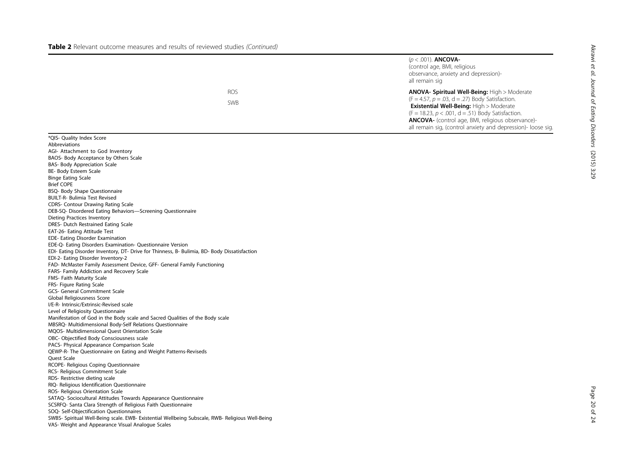|                          | ( $p < .001$ ). ANCOVA-<br>(control age, BMI, religious<br>observance, anxiety and depression)-<br>all remain sig                                                                                                                                                                                                                                     |
|--------------------------|-------------------------------------------------------------------------------------------------------------------------------------------------------------------------------------------------------------------------------------------------------------------------------------------------------------------------------------------------------|
| <b>ROS</b><br><b>SWB</b> | <b>ANOVA- Spiritual Well-Being: High &gt; Moderate</b><br>(F = 4.57, $p = .03$ , d = .27) Body Satisfaction.<br><b>Existential Well-Being: High &gt; Moderate</b><br>(F = 18.23, $p < .001$ , d = .51) Body Satisfaction.<br><b>ANCOVA-</b> (control age, BMI, religious observance)-<br>all remain sig, (control anxiety and depression)- loose sig. |

\*QIS- Quality Index Score Abbreviations AGI- Attachment to God Inventory BAOS- Body Acceptance by Others Scale BAS- Body Appreciation Scale BE- Body Esteem Scale Binge Eating Scale Brief COPE BSQ- Body Shape Questionnaire BUILT-R- Bulimia Test Revised CDRS- Contour Drawing Rating Scale DEB-SQ- Disordered Eating Behaviors —Screening Questionnaire Dieting Practices Inventory DRES- Dutch Restrained Eating Scale EAT-26- Eating Attitude Test EDE- Eating Disorder Examination EDE-Q- Eating Disorders Examination- Questionnaire Version EDI- Eating Disorder Inventory, DT- Drive for Thinness, B- Bulimia, BD- Body Dissatisfaction EDI-2- Eating Disorder Inventory-2 FAD- McMaster Family Assessment Device, GFF- General Family Functioning FARS- Family Addiction and Recovery Scale FMS- Faith Maturity Scale FRS- Figure Rating Scale GCS- General Commitment Scale Global Religiousness Score I/E-R- Intrinsic/Extrinsic-Revised scale Level of Religiosity Questionnaire Manifestation of God in the Body scale and Sacred Qualities of the Body scale MBSRQ- Multidimensional Body-Self Relations Questionnaire MQOS- Multidimensional Quest Orientation Scale OBC- Objectified Body Consciousness scale PACS- Physical Appearance Comparison Scale QEWP-R- The Questionnaire on Eating and Weight Patterns-Reviseds Quest Scale RCOPE- Religious Coping Questionnaire RCS- Religious Commitment Scale RDS- Restrictive dieting scale RIQ- Religious Identification Questionnaire ROS- Religious Orientation Scale SATAQ- Sociocultural Attitudes Towards Appearance Questionnaire SCSRFQ- Santa Clara Strength of Religious Faith Questionnaire SOQ- Self-Objectification Questionnaires SWBS- Spiritual Well-Being scale. EWB- Existential Wellbeing Subscale, RWB- Religious Well-Being VAS- Weight and Appearance Visual Analogue Scales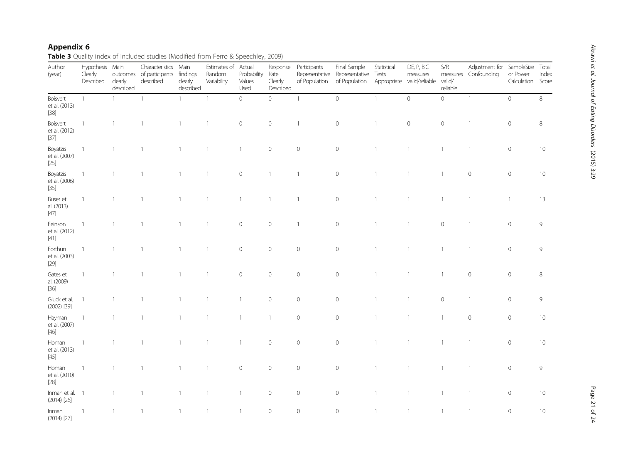### <span id="page-20-0"></span>Appendix 6

Table 3 Quality index of included studies (Modified from Ferro & Speechley, 2009)

| Author<br>(year)                    | Hypothesis Main<br>Clearly<br>Described | clearly<br>described | Characteristics<br>outcomes of participants<br>described | Main<br>findings<br>clearly<br>described | Estimates of<br>Random<br>Variability | Actual<br>Probability<br>Values<br>Used | Response<br>Rate<br>Clearly<br>Described | Participants<br>Representative<br>of Population | Final Sample<br>Representative<br>of Population | Statistical<br>Tests | DE, P, BIC<br>measures<br>Appropriate valid/reliable valid/ | S/R<br>measures<br>reliable | Adjustment for<br>Confounding | SampleSize<br>or Power<br>Calculation | Total<br>Index<br>Score |
|-------------------------------------|-----------------------------------------|----------------------|----------------------------------------------------------|------------------------------------------|---------------------------------------|-----------------------------------------|------------------------------------------|-------------------------------------------------|-------------------------------------------------|----------------------|-------------------------------------------------------------|-----------------------------|-------------------------------|---------------------------------------|-------------------------|
| Boisvert<br>et al. (2013)<br>$[38]$ | $\overline{1}$                          | $\mathbf{1}$         | $\mathbf{1}$                                             | $\mathbf{1}$                             | $\overline{1}$                        | $\circ$                                 | $\circ$                                  | $\mathbf{1}$                                    | $\mathsf{O}\xspace$                             | $\mathbf{1}$         | $\circ$                                                     | $\circ$                     | $\overline{1}$                | $\mathbb O$                           | 8                       |
| Boisvert<br>et al. (2012)<br>$[37]$ | $\mathbf{1}$                            | $\mathbf{1}$         | $\mathbf{1}$                                             | $\overline{1}$                           | $\overline{1}$                        | $\mathbb O$                             | $\circ$                                  | $\mathbf{1}$                                    | $\circ$                                         | $\mathbf{1}$         | $\circ$                                                     | $\mathbf 0$                 | $\overline{1}$                | $\,0\,$                               | 8                       |
| Boyatzis<br>et al. (2007)<br>$[25]$ | $\overline{1}$                          | $\overline{1}$       | $\mathbf{1}$                                             | $\mathbf{1}$                             | $\overline{1}$                        | $\mathbf{1}$                            | $\circ$                                  | $\mathbb O$                                     | $\mathsf{O}\xspace$                             | $\mathbf{1}$         | $\overline{1}$                                              |                             | $\overline{1}$                | $\mathbf 0$                           | $10$                    |
| Boyatzis<br>et al. (2006)<br>$[35]$ | $\overline{1}$                          | $\overline{1}$       | $\mathbf{1}$                                             | $\overline{1}$                           | $\mathbf{1}$                          | $\mathbf 0$                             | $\mathbf{1}$                             | $\mathbf{1}$                                    | $\mathbf{O}$                                    | $\mathbf{1}$         | $\overline{1}$                                              |                             | $\circledcirc$                | $\mathbf 0$                           | 10 <sup>°</sup>         |
| Buser et<br>al. (2013)<br>[47]      | $\overline{1}$                          |                      | $\mathbf{1}$                                             | $\mathbf{1}$                             | $\overline{1}$                        | $\mathbf{1}$                            | $\mathbf{1}$                             | $\mathbf{1}$                                    | $\mathsf{O}\xspace$                             | $\mathbf{1}$         | $\overline{1}$                                              | $\overline{1}$              | $\overline{1}$                | $\overline{1}$                        | 13                      |
| Feinson<br>et al. (2012)<br>$[41]$  | $\mathbf{1}$                            | $\overline{1}$       | $\mathbf{1}$                                             | $\overline{1}$                           | $\overline{1}$                        | $\mathbf 0$                             | $\circ$                                  | $\mathbf{1}$                                    | $\mathsf{O}\xspace$                             | $\mathbf{1}$         | $\overline{1}$                                              | $\mathbf 0$                 |                               | $\mathsf{O}\xspace$                   | 9                       |
| Forthun<br>et al. (2003)<br>$[29]$  | $\mathbf{1}$                            | $\overline{1}$       | $\mathbf{1}$                                             | $\overline{1}$                           | $\overline{1}$                        | $\mathbf 0$                             | $\circ$                                  | $\mathbf 0$                                     | $\mathsf{O}\xspace$                             | $\mathbf{1}$         | $\overline{1}$                                              | $\overline{1}$              | $\overline{1}$                | $\mathsf{O}\xspace$                   | $\circ$                 |
| Gates et<br>al. (2009)<br>$[36]$    | $\mathbf{1}$                            |                      | $\mathbf{1}$                                             | $\mathbf{1}$                             | $\overline{1}$                        | $\mathbb O$                             | $\mathsf{O}\xspace$                      | $\mathbb O$                                     | $\mathbb O$                                     | $\mathbf{1}$         | $\overline{1}$                                              | $\overline{1}$              | $\mathbb O$                   | $\mathbf 0$                           | 8                       |
| Gluck et al.<br>$(2002)$ [39]       | $\overline{1}$                          |                      | $\overline{1}$                                           | $\overline{1}$                           | $\overline{1}$                        | $\overline{1}$                          | $\mathbf{0}$                             | $\overline{0}$                                  | $\mathbf{O}$                                    | $\mathbf{1}$         |                                                             | $\mathbb O$                 |                               | $\mathbf 0$                           | 9                       |
| Hayman<br>et al. (2007)<br>$[46]$   | $\overline{1}$                          | $\mathbf{1}$         | $\mathbf{1}$                                             | $\overline{1}$                           | $\overline{1}$                        | $\overline{1}$                          | $\overline{1}$                           | $\mathbf 0$                                     | $\mathbf 0$                                     | $\mathbf{1}$         | $\overline{1}$                                              | $\overline{1}$              | $\circledcirc$                | $\mathbf 0$                           | 10                      |
| Homan<br>et al. (2013)<br>$[45]$    | $\overline{1}$                          | $\overline{1}$       | $\overline{1}$                                           | $\overline{1}$                           | $\overline{1}$                        | $\overline{1}$                          | $\circ$                                  | $\mathbf 0$                                     | $\mathbf{O}$                                    | $\mathbf{1}$         | $\overline{1}$                                              |                             | $\mathbf{1}$                  | $\mathbf 0$                           | 10                      |
| Homan<br>et al. (2010)<br>[28]      | $\overline{1}$                          |                      | $\mathbf{1}$                                             | $\mathbf{1}$                             |                                       | $\mathbf 0$                             | $\mathbf{0}$                             | $\mathbf 0$                                     | $\mathbf{O}$                                    | $\mathbf{1}$         |                                                             |                             |                               | $\mathbf 0$                           | 9                       |
| Inman et al.<br>$(2014)$ $[26]$     | $\overline{1}$                          | $\overline{1}$       | $\mathbf{1}$                                             | $\mathbf{1}$                             | $\overline{1}$                        | $\overline{1}$                          | $\circ$                                  | $\mathbf 0$                                     | $\mathbf{0}$                                    | $\mathbf{1}$         | $\mathbf{1}$                                                | $\overline{1}$              | $\overline{1}$                | $\mathbf 0$                           | 10                      |
| Inman<br>$(2014)$ $[27]$            |                                         |                      |                                                          |                                          |                                       | $\overline{1}$                          | $\circ$                                  | $\mathbf 0$                                     | $\overline{0}$                                  | $\mathbf{1}$         |                                                             |                             |                               | $\mathbf 0$                           | 10 <sup>°</sup>         |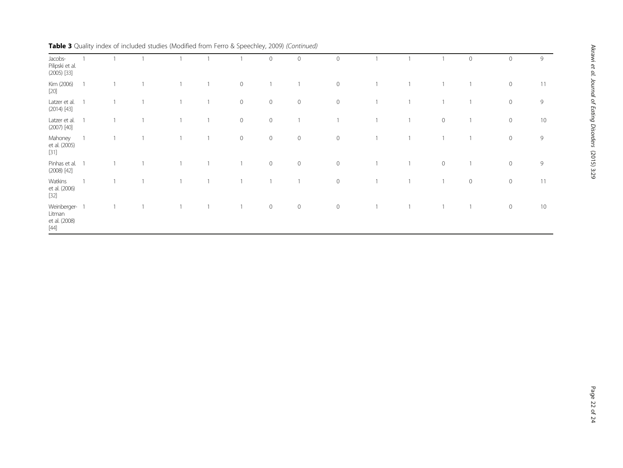| Jacobs-<br>Pilipski et al.<br>$(2005)$ [33]                                                                                                                                                                                                                                        |  |  |              |                | $\circ$     | $\circ$ | $\circ$        |              |                |              | $\circ$        | $\circ$        | 9               |
|------------------------------------------------------------------------------------------------------------------------------------------------------------------------------------------------------------------------------------------------------------------------------------|--|--|--------------|----------------|-------------|---------|----------------|--------------|----------------|--------------|----------------|----------------|-----------------|
| Kim (2006)<br>$[20]$                                                                                                                                                                                                                                                               |  |  | $\mathbf{1}$ | $\circ$        |             |         | $\overline{0}$ | $\mathbf{1}$ | $\overline{1}$ | 1            |                | $\overline{0}$ | 11              |
| Latzer et al.<br>$(2014)$ [43]                                                                                                                                                                                                                                                     |  |  | $\mathbf{1}$ | $\circ$        | $\circ$     | $\circ$ | $\circ$        |              | $\mathbf{1}$   | 1            |                | $\circ$        | 9               |
| Latzer et al.<br>$(2007)$ $[40]$                                                                                                                                                                                                                                                   |  |  | $\mathbf{1}$ | $\circ$        | $\circ$     |         |                |              | $\mathbf{1}$   | $\circ$      |                | $\circ$        | 10 <sup>°</sup> |
| Mahoney<br>et al. (2005)<br>$[31]$                                                                                                                                                                                                                                                 |  |  | $\mathbf{1}$ | $\circ$        | $\mathbf 0$ | $\circ$ | $\mathbf 0$    |              | 1              |              |                | $\circ$        | 9               |
| Pinhas et al.<br>$(2008)$ $[42]$                                                                                                                                                                                                                                                   |  |  | $\mathbf{1}$ | $\overline{1}$ | $\circ$     | $\circ$ | $\circ$        |              | 1              | $\circ$      |                | $\circ$        | 9               |
| Watkins<br>et al. (2006)<br>$[32]$                                                                                                                                                                                                                                                 |  |  | $\mathbf{1}$ |                |             |         | $\circ$        |              | 1              | $\mathbf{1}$ | $\overline{0}$ | $\circ$        | 11              |
| Weinberger-<br>Litman<br>et al. (2008)<br>$[44] \tabcolsep 1pt % \centerline{ % \begin{tabular}{cccc} \includegraphics[width=\textwidth]{figs/fig_4} \end{tabular} } \caption{The 44. \textcolor{red}{\includegraphics[width=\textwidth]{figs/fig_4} \end{tabular}} \label{fig:6}$ |  |  | $\mathbf{1}$ |                | $\mathbf 0$ | $\circ$ | $\mathbf 0$    |              | 1              |              |                | $\overline{0}$ | 10 <sup>°</sup> |

### Table 3 Quality index of included studies (Modified from Ferro & Speechley, 2009) (Continued)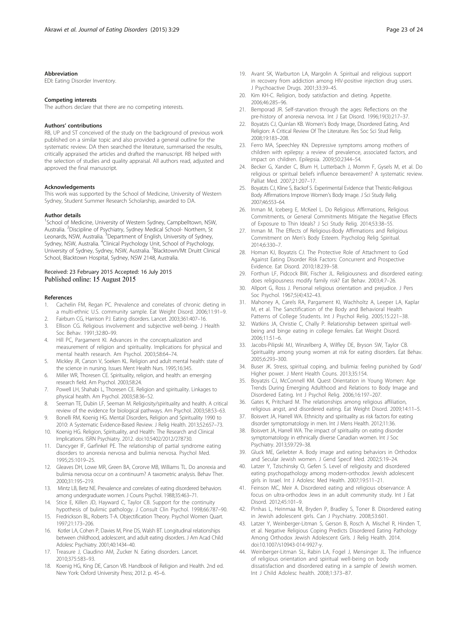#### <span id="page-22-0"></span>Abbreviation

EDI: Eating Disorder Inventory.

#### Competing interests

The authors declare that there are no competing interests.

#### Authors' contributions

RB, UP and ST conceived of the study on the background of previous work published on a similar topic and also provided a general outline for the systematic review. DA then searched the literature, summarised the results, critically appraised the articles and drafted the manuscript. RB helped with the selection of studies and quality appraisal. All authors read, adjusted and approved the final manuscript.

#### Acknowledgements

This work was supported by the School of Medicine, University of Western Sydney, Student Summer Research Scholarship, awarded to DA.

#### Author details

<sup>1</sup>School of Medicine, University of Western Sydney, Campbelltown, NSW, Australia. <sup>2</sup>Discipline of Psychiatry, Sydney Medical School- Northern, St Leonards, NSW, Australia. <sup>3</sup>Department of English, University of Sydney, Sydney, NSW, Australia. <sup>4</sup>Clinical Psychology Unit, School of Psychology, University of Sydney, Sydney, NSW, Australia. <sup>5</sup>Blacktown/Mt Druitt Clinical School, Blacktown Hospital, Sydney, NSW 2148, Australia.

#### Received: 23 February 2015 Accepted: 16 July 2015 Published online: 15 August 2015

#### References

- 1. Cachelin FM, Regan PC. Prevalence and correlates of chronic dieting in a multi-ethnic U.S. community sample. Eat Weight Disord. 2006;11:91–9.
- 2. Fairburn CG, Harrison PJ. Eating disorders. Lancet. 2003;361:407–16.
- Ellison CG. Religious involvement and subjective well-being. J Health Soc Behav. 1991;32:80–99.
- 4. Hill PC, Pargament KI. Advances in the conceptualization and measurement of religion and spirituality. Implications for physical and mental health research. Am Psychol. 2003;58:64–74.
- 5. Mickley JR, Carson V, Soeken KL. Religion and adult mental health: state of the science in nursing. Issues Ment Health Nurs. 1995;16:345.
- 6. Miller WR, Thoresen CE. Spirituality, religion, and health: an emerging research field. Am Psychol. 2003;58:24.
- 7. Powell LH, Shahabi L, Thoresen CE. Religion and spirituality. Linkages to physical health. Am Psychol. 2003;58:36–52.
- 8. Seeman TE, Dubin LF, Seeman M. Religiosity/spirituality and health. A critical review of the evidence for biological pathways. Am Psychol. 2003;58:53–63.
- 9. Bonelli RM, Koenig HG. Mental Disorders, Religion and Spirituality 1990 to 2010: A Systematic Evidence-Based Review. J Relig Health. 2013;52:657–73.
- 10. Koenig HG. Religion, Spirituality, and Health: The Research and Clinical Implications. ISRN Psychiatry. 2012. doi:[10.5402/2012/278730.](http://dx.doi.org/10.5402/2012/278730)
- 11. Dancyger IF, Garfinkel PE. The relationship of partial syndrome eating disorders to anorexia nervosa and bulimia nervosa. Psychol Med. 1995;25:1019–25.
- 12. Gleaves DH, Lowe MR, Green BA, Cororve MB, Williams TL. Do anorexia and bulimia nervosa occur on a continuum? A taxometric analysis. Behav Ther. 2000;31:195–219.
- 13. Mintz LB, Betz NE. Prevalence and correlates of eating disordered behaviors among undergraduate women. J Couns Psychol. 1988;35:463–71.
- 14. Stice E, Killen JD, Hayward C, Taylor CB. Support for the continuity hypothesis of bulimic pathology. J Consult Clin Psychol. 1998;66:787–90.
- 15. Fredrickson BL, Roberts T-A. Objectification Theory. Psychol Women Quart. 1997;21:173–206.
- 16. Kotler LA, Cohen P, Davies M, Pine DS, Walsh BT. Longitudinal relationships between childhood, adolescent, and adult eating disorders. J Am Acad Child Adolesc Psychiatry. 2001;40:1434–40.
- 17. Treasure J, Claudino AM, Zucker N. Eating disorders. Lancet. 2010;375:583–93.
- 18. Koenig HG, King DE, Carson VB. Handbook of Religion and Health. 2nd ed. New York: Oxford University Press; 2012. p. 45–6.
- 19. Avant SK, Warburton LA, Margolin A. Spiritual and religious support in recovery from addiction among HIV-positive injection drug users. J Psychoactive Drugs. 2001;33:39–45.
- 20. Kim KH-C. Religion, body satisfaction and dieting. Appetite. 2006;46:285–96.
- 21. Bemporad JR. Self-starvation through the ages: Reflections on the pre-history of anorexia nervosa. Int J Eat Disord. 1996;19(3):217–37.
- 22. Boyatzis CJ, Quinlan KB. Women's Body Image, Disordered Eating, And Religion: A Critical Review Of The Literature. Res Soc Sci Stud Relig. 2008;19:183–208.
- 23. Ferro MA, Speechley KN. Depressive symptoms among mothers of children with epilepsy: a review of prevalence, associated factors, and impact on children. Epilepsia. 2009;50:2344–54.
- 24. Becker G, Xander C, Blum H, Lutterbach J, Momm F, Gysels M, et al. Do religious or spiritual beliefs influence bereavement? A systematic review. Palliat Med. 2007;21:207–17.
- 25. Boyatzis CJ, Kline S, Backof S. Experimental Evidence that Theistic-Religious Body Affirmations Improve Women's Body Image. J Sci Study Relig. 2007;46:553–64.
- 26. Inman M, Iceberg E, McKeel L. Do Religious Affirmations, Religious Commitments, or General Commitments Mitigate the Negative Effects of Exposure to Thin Ideals? J Sci Study Relig. 2014;53:38–55.
- 27. Inman M. The Effects of Religious-Body Affirmations and Religious Commitment on Men's Body Esteem. Psycholog Relig Spiritual. 2014;6:330–7.
- 28. Homan KJ, Boyatzis CJ. The Protective Role of Attachment to God Against Eating Disorder Risk Factors: Concurrent and Prospective Evidence. Eat Disord. 2010;18:239–58.
- 29. Forthun LF, Pidcock BW, Fischer JL. Religiousness and disordered eating: does religiousness modify family risk? Eat Behav. 2003;4:7–26.
- 30. Allport G, Ross J. Personal religious orientation and prejudice. J Pers Soc Psychol. 1967;5(4):432–43.
- 31. Mahoney A, Carels RA, Pargament KI, Wachholtz A, Leeper LA, Kaplar M, et al. The Sanctification of the Body and Behavioral Health Patterns of College Students. Int J Psychol Relig. 2005;15:221–38.
- 32. Watkins JA, Christie C, Chally P. Relationship between spiritual wellbeing and binge eating in college females. Eat Weight Disord. 2006;11:51–6.
- 33. Jacobs-Pilipski MJ, Winzelberg A, Wilfley DE, Bryson SW, Taylor CB. Spirituality among young women at risk for eating disorders. Eat Behav. 2005;6:293–300.
- 34. Buser JK. Stress, spiritual coping, and bulimia: feeling punished by God/ Higher power. J Ment Health Couns. 2013;35:154.
- 35. Boyatzis CJ, McConnell KM. Quest Orientation in Young Women: Age Trends During Emerging Adulthood and Relations to Body Image and Disordered Eating. Int J Psychol Relig. 2006;16:197–207.
- 36. Gates K, Pritchard M. The relationships among religious affiliation, religious angst, and disordered eating. Eat Weight Disord. 2009;14:11–5.
- 37. Boisvert JA, Harrell WA. Ethnicity and spirituality as risk factors for eating disorder symptomatology in men. Int J Mens Health. 2012;11:36.
- 38. Boisvert JA, Harrell WA. The impact of spirituality on eating disorder symptomatology in ethnically diverse Canadian women. Int J Soc Psychiatry. 2013;59:729–38.
- 39. Gluck ME, Geliebter A. Body image and eating behaviors in Orthodox and Secular Jewish women. J Gend Specif Med. 2002;5:19–24.
- 40. Latzer Y, Tzischinsky O, Gefen S. Level of religiosity and disordered eating psychopathology among modern-orthodox Jewish adolescent girls in Israel. Int J Adolesc Med Health. 2007;19:511–21.
- 41. Feinson MC, Meir A. Disordered eating and religious observance: A focus on ultra-orthodox Jews in an adult community study. Int J Eat Disord. 2012;45:101–9.
- 42. Pinhas L, Heinmaa M, Bryden P, Bradley S, Toner B. Disordered eating in Jewish adolescent girls. Can J Psychiatry. 2008;53:601.
- 43. Latzer Y, Weinberger-Litman S, Gerson B, Rosch A, Mischel R, Hinden T, et al. Negative Religious Coping Predicts Disordered Eating Pathology Among Orthodox Jewish Adolescent Girls. J Relig Health. 2014. doi[:10.1007/s10943-014-9927-y.](http://dx.doi.org/10.1007/s10943-014-9927-y)
- 44. Weinberger-Litman SL, Rabin LA, Fogel J, Mensinger JL. The influence of religious orientation and spiritual well-being on body dissatisfaction and disordered eating in a sample of Jewish women. Int J Child Adolesc health. 2008;1:373–87.